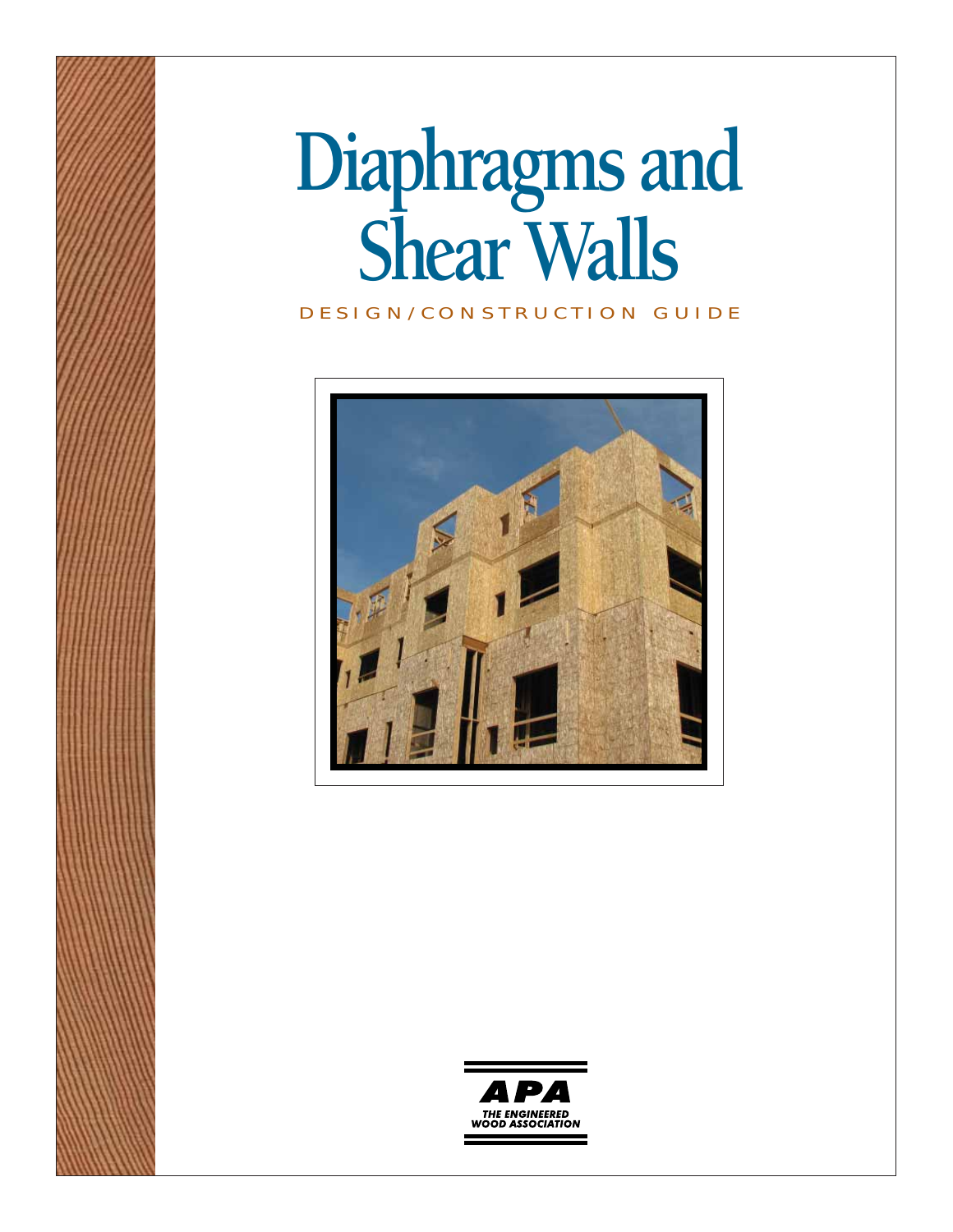# **Diaphragms and Shear Walls**

#### DESIGN/CONSTRUCTION GUIDE



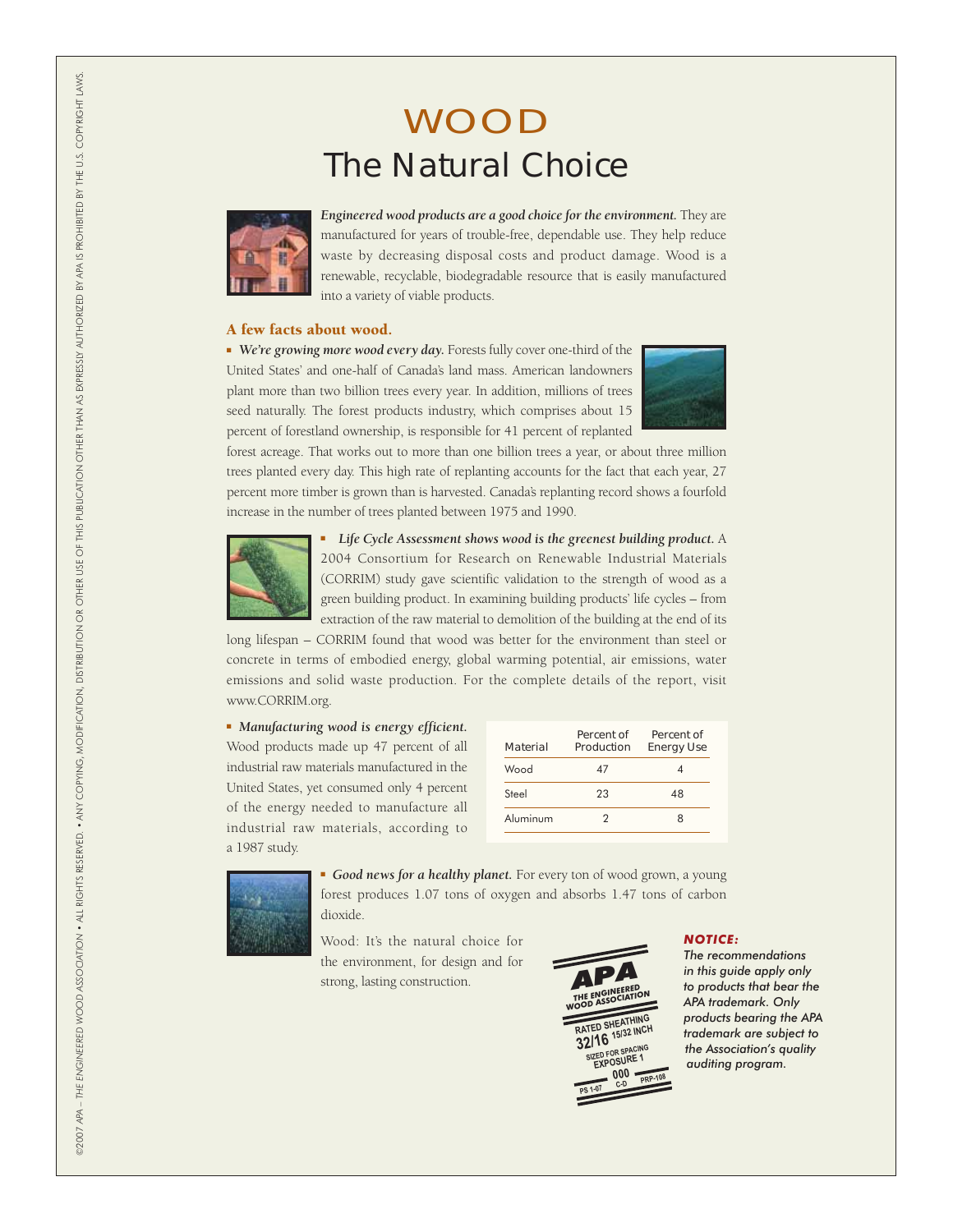### WOOD The Natural Choice



*Engineered wood products are a good choice for the environment.* They are manufactured for years of trouble-free, dependable use. They help reduce waste by decreasing disposal costs and product damage. Wood is a renewable, recyclable, biodegradable resource that is easily manufactured into a variety of viable products.

#### A few facts about wood.

■ *We're growing more wood every day.* Forests fully cover one-third of the United States' and one-half of Canada's land mass. American landowners plant more than two billion trees every year. In addition, millions of trees seed naturally. The forest products industry, which comprises about 15 percent of forestland ownership, is responsible for 41 percent of replanted



forest acreage. That works out to more than one billion trees a year, or about three million trees planted every day. This high rate of replanting accounts for the fact that each year, 27 percent more timber is grown than is harvested. Canada's replanting record shows a fourfold increase in the number of trees planted between 1975 and 1990.



■ *Life Cycle Assessment shows wood is the greenest building product.* A 2004 Consortium for Research on Renewable Industrial Materials (CORRIM) study gave scientific validation to the strength of wood as a green building product. In examining building products' life cycles – from extraction of the raw material to demolition of the building at the end of its

long lifespan – CORRIM found that wood was better for the environment than steel or concrete in terms of embodied energy, global warming potential, air emissions, water emissions and solid waste production. For the complete details of the report, visit www.CORRIM.org.

■ *Manufacturing wood is energy efficient.*  Wood products made up 47 percent of all industrial raw materials manufactured in the United States, yet consumed only 4 percent of the energy needed to manufacture all industrial raw materials, according to a 1987 study.

| Material | Percent of<br>Production | Percent of<br><b>Energy Use</b> |
|----------|--------------------------|---------------------------------|
| Wood     | 47                       |                                 |
| Steel    | 23                       | 48                              |
| Aluminum | 7                        | я                               |



■ *Good news for a healthy planet.* For every ton of wood grown, a young forest produces 1.07 tons of oxygen and absorbs 1.47 tons of carbon dioxide.

Wood: It's the natural choice for the environment, for design and for strong, lasting construction.



#### *NOTICE:*

*The recommendations in this guide apply only to products that bear the APA trademark. Only products bearing the APA trademark are subject to the Association's quality auditing program.*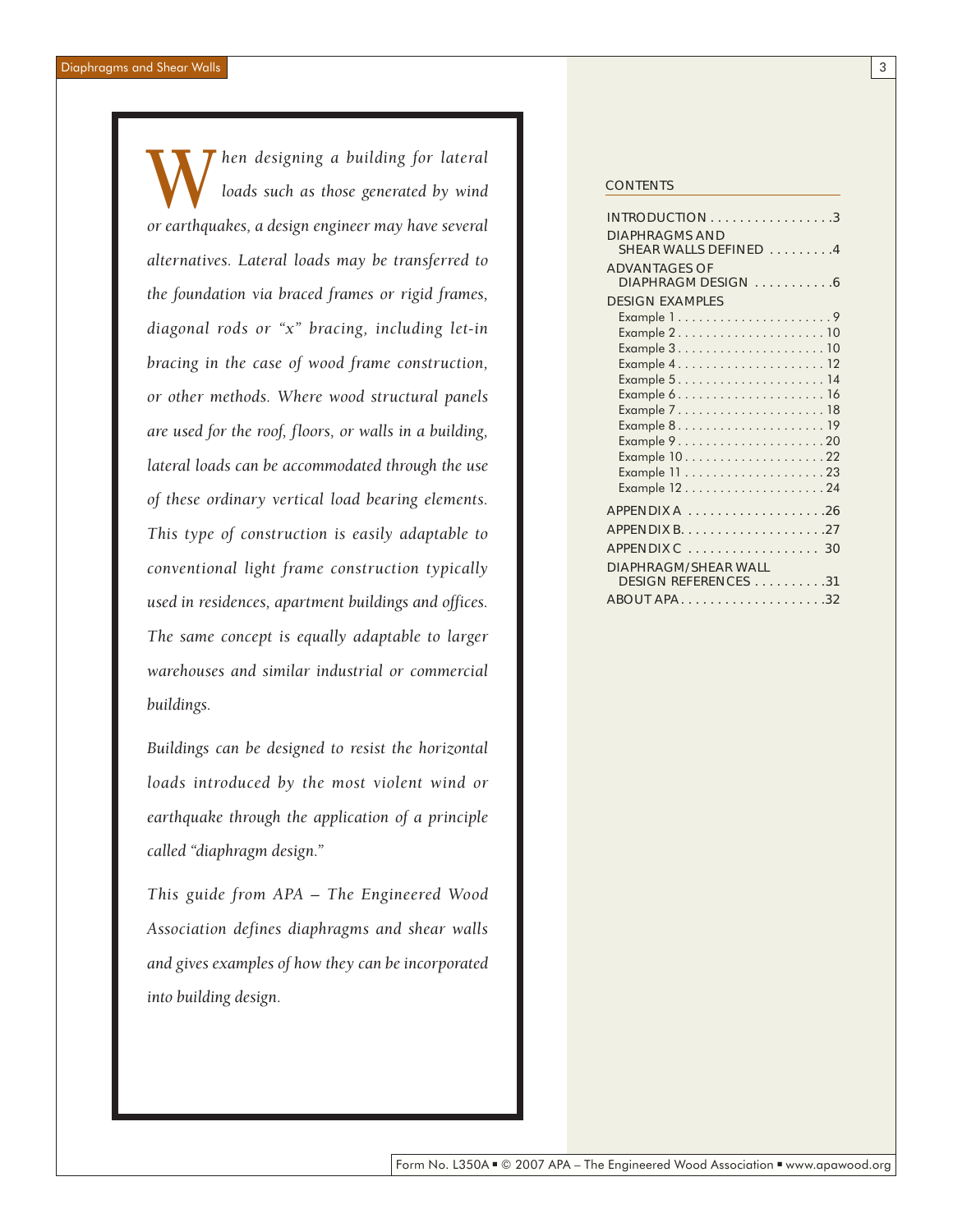*hen designing a building for lateral loads such as those generated by wind or earthquakes, a design engineer may have several alternatives. Lateral loads may be transferred to the foundation via braced frames or rigid frames, diagonal rods or "x" bracing, including let-in bracing in the case of wood frame construction, or other methods. Where wood structural panels are used for the roof, floors, or walls in a building, lateral loads can be accommodated through the use of these ordinary vertical load bearing elements. This type of construction is easily adaptable to conventional light frame construction typically used in residences, apartment buildings and offices. The same concept is equally adaptable to larger warehouses and similar industrial or commercial buildings.* Men designing a building for lateral<br>loads such as those generated by wind<br>or earthquakes a design engineer may have several

*Buildings can be designed to resist the horizontal loads introduced by the most violent wind or earthquake through the application of a principle called "diaphragm design."*

*This guide from APA – The Engineered Wood Association defines diaphragms and shear walls and gives examples of how they can be incorporated into building design.*

| <b>DIAPHRAGMS AND</b>       |
|-----------------------------|
| SHEAR WALLS DEFINED 4       |
| <b>ADVANTAGES OF</b>        |
| DIAPHRAGM DESIGN 6          |
| <b>DESIGN EXAMPLES</b>      |
| Example 19                  |
| Example 210                 |
|                             |
|                             |
|                             |
|                             |
|                             |
|                             |
|                             |
| Example 1022                |
|                             |
|                             |
|                             |
|                             |
| APPENDIX C  30              |
|                             |
| <b>DIAPHRAGM/SHEAR WALL</b> |
| DESIGN REFERENCES 31        |
|                             |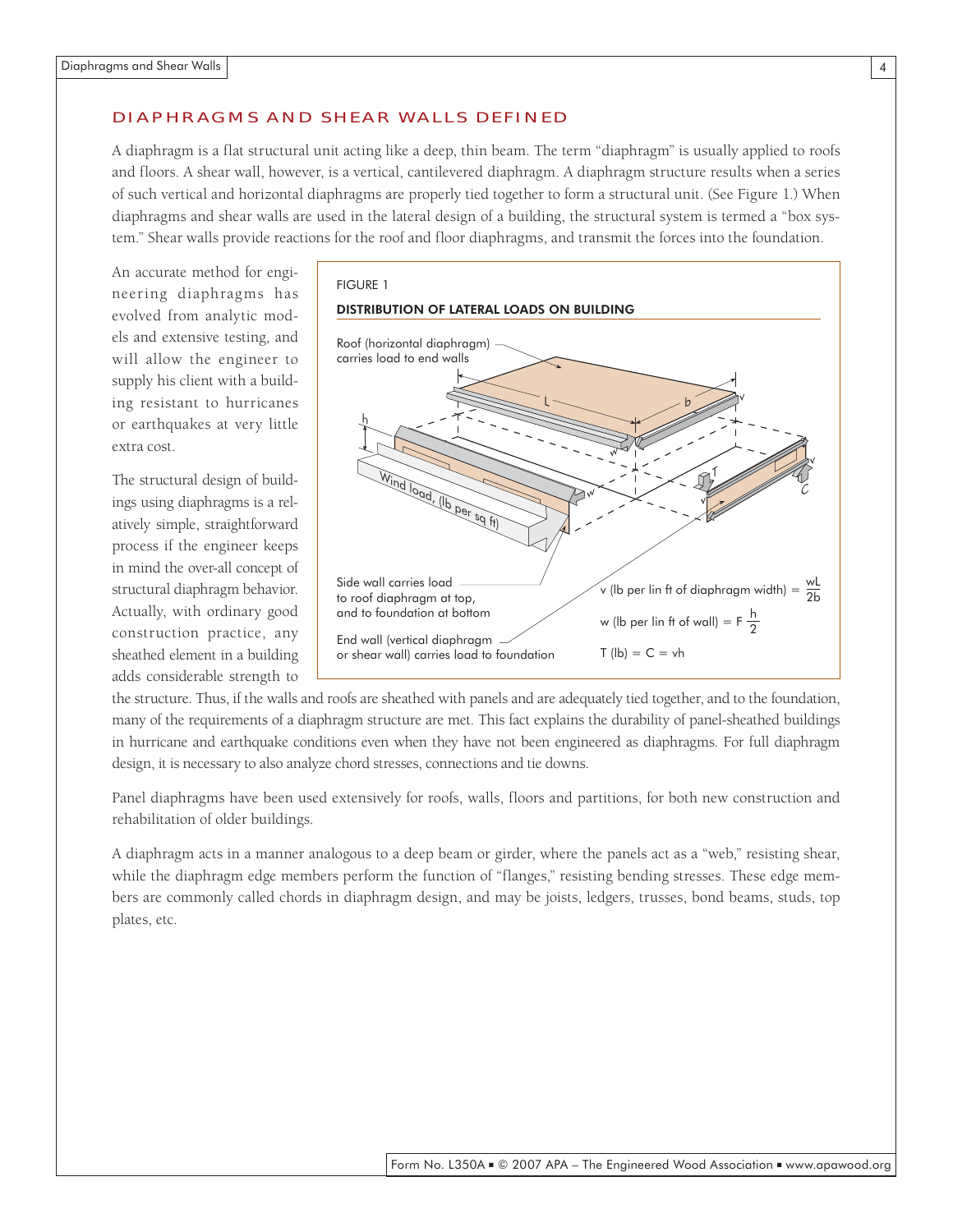#### DIAPHRAGMS AND SHEAR WALLS DEFINED

A diaphragm is a flat structural unit acting like a deep, thin beam. The term "diaphragm" is usually applied to roofs and floors. A shear wall, however, is a vertical, cantilevered diaphragm. A diaphragm structure results when a series of such vertical and horizontal diaphragms are properly tied together to form a structural unit. (See Figure 1.) When diaphragms and shear walls are used in the lateral design of a building, the structural system is termed a "box system." Shear walls provide reactions for the roof and floor diaphragms, and transmit the forces into the foundation.

An accurate method for engineering diaphragms has evolved from analytic models and extensive testing, and will allow the engineer to supply his client with a building resistant to hurricanes or earthquakes at very little extra cost.

The structural design of buildings using diaphragms is a relatively simple, straightforward process if the engineer keeps in mind the over-all concept of structural diaphragm behavior. Actually, with ordinary good construction practice, any sheathed element in a building adds considerable strength to



the structure. Thus, if the walls and roofs are sheathed with panels and are adequately tied together, and to the foundation, many of the requirements of a diaphragm structure are met. This fact explains the durability of panel-sheathed buildings in hurricane and earthquake conditions even when they have not been engineered as diaphragms. For full diaphragm design, it is necessary to also analyze chord stresses, connections and tie downs.

Panel diaphragms have been used extensively for roofs, walls, floors and partitions, for both new construction and rehabilitation of older buildings.

A diaphragm acts in a manner analogous to a deep beam or girder, where the panels act as a "web," resisting shear, while the diaphragm edge members perform the function of "flanges," resisting bending stresses. These edge members are commonly called chords in diaphragm design, and may be joists, ledgers, trusses, bond beams, studs, top plates, etc.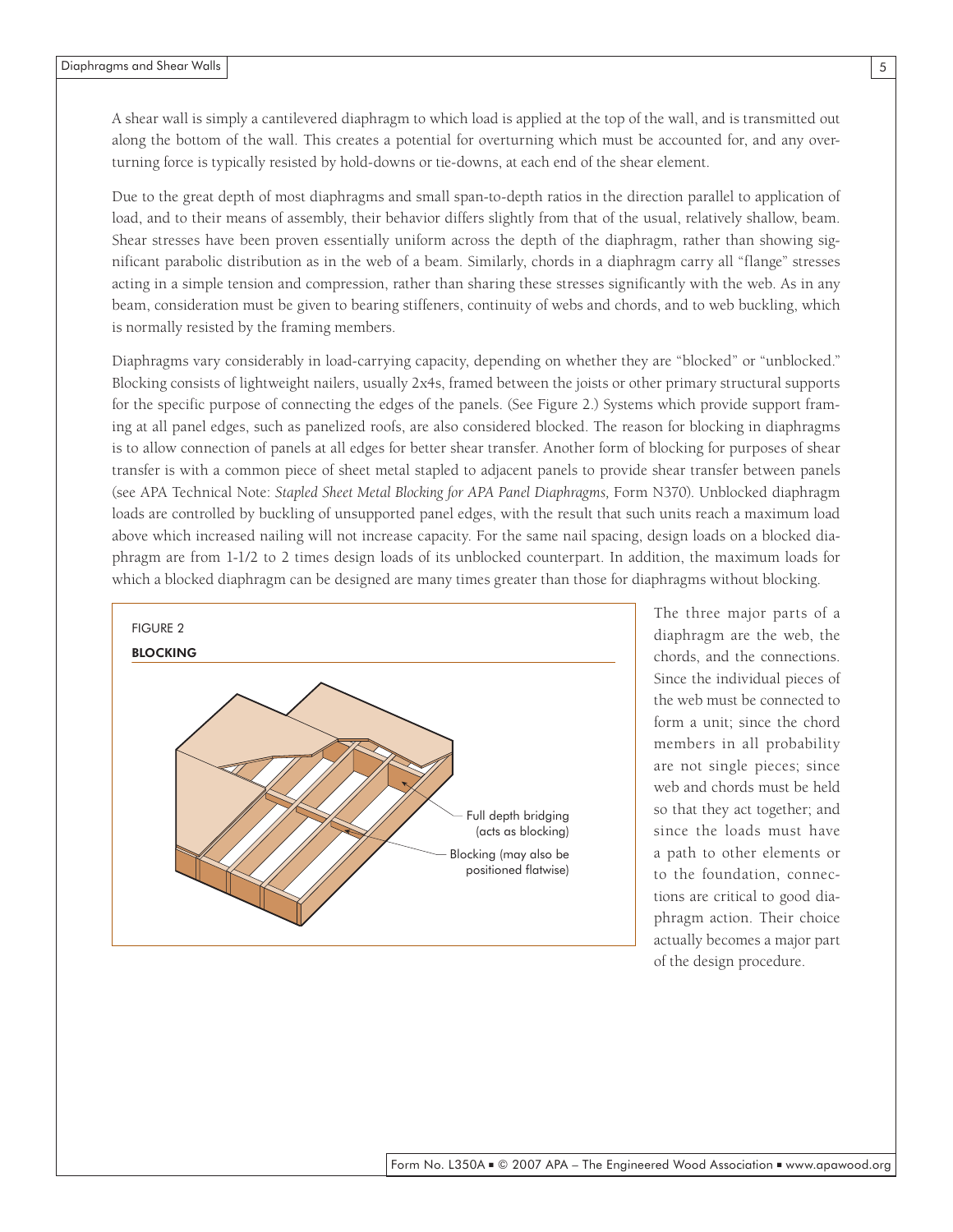A shear wall is simply a cantilevered diaphragm to which load is applied at the top of the wall, and is transmitted out along the bottom of the wall. This creates a potential for overturning which must be accounted for, and any overturning force is typically resisted by hold-downs or tie-downs, at each end of the shear element.

Due to the great depth of most diaphragms and small span-to-depth ratios in the direction parallel to application of load, and to their means of assembly, their behavior differs slightly from that of the usual, relatively shallow, beam. Shear stresses have been proven essentially uniform across the depth of the diaphragm, rather than showing significant parabolic distribution as in the web of a beam. Similarly, chords in a diaphragm carry all "flange" stresses acting in a simple tension and compression, rather than sharing these stresses significantly with the web. As in any beam, consideration must be given to bearing stiffeners, continuity of webs and chords, and to web buckling, which is normally resisted by the framing members.

Diaphragms vary considerably in load-carrying capacity, depending on whether they are "blocked" or "unblocked." Blocking consists of lightweight nailers, usually 2x4s, framed between the joists or other primary structural supports for the specific purpose of connecting the edges of the panels. (See Figure 2.) Systems which provide support framing at all panel edges, such as panelized roofs, are also considered blocked. The reason for blocking in diaphragms is to allow connection of panels at all edges for better shear transfer. Another form of blocking for purposes of shear transfer is with a common piece of sheet metal stapled to adjacent panels to provide shear transfer between panels (see APA Technical Note: *Stapled Sheet Metal Blocking for APA Panel Diaphragms, Form N370)*. Unblocked diaphragm loads are controlled by buckling of unsupported panel edges, with the result that such units reach a maximum load above which increased nailing will not increase capacity. For the same nail spacing, design loads on a blocked diaphragm are from 1-1/2 to 2 times design loads of its unblocked counterpart. In addition, the maximum loads for which a blocked diaphragm can be designed are many times greater than those for diaphragms without blocking.



The three major parts of a diaphragm are the web, the chords, and the connections. Since the individual pieces of the web must be connected to form a unit; since the chord members in all probability are not single pieces; since web and chords must be held so that they act together; and since the loads must have a path to other elements or to the foundation, connections are critical to good diaphragm action. Their choice actually becomes a major part of the design procedure.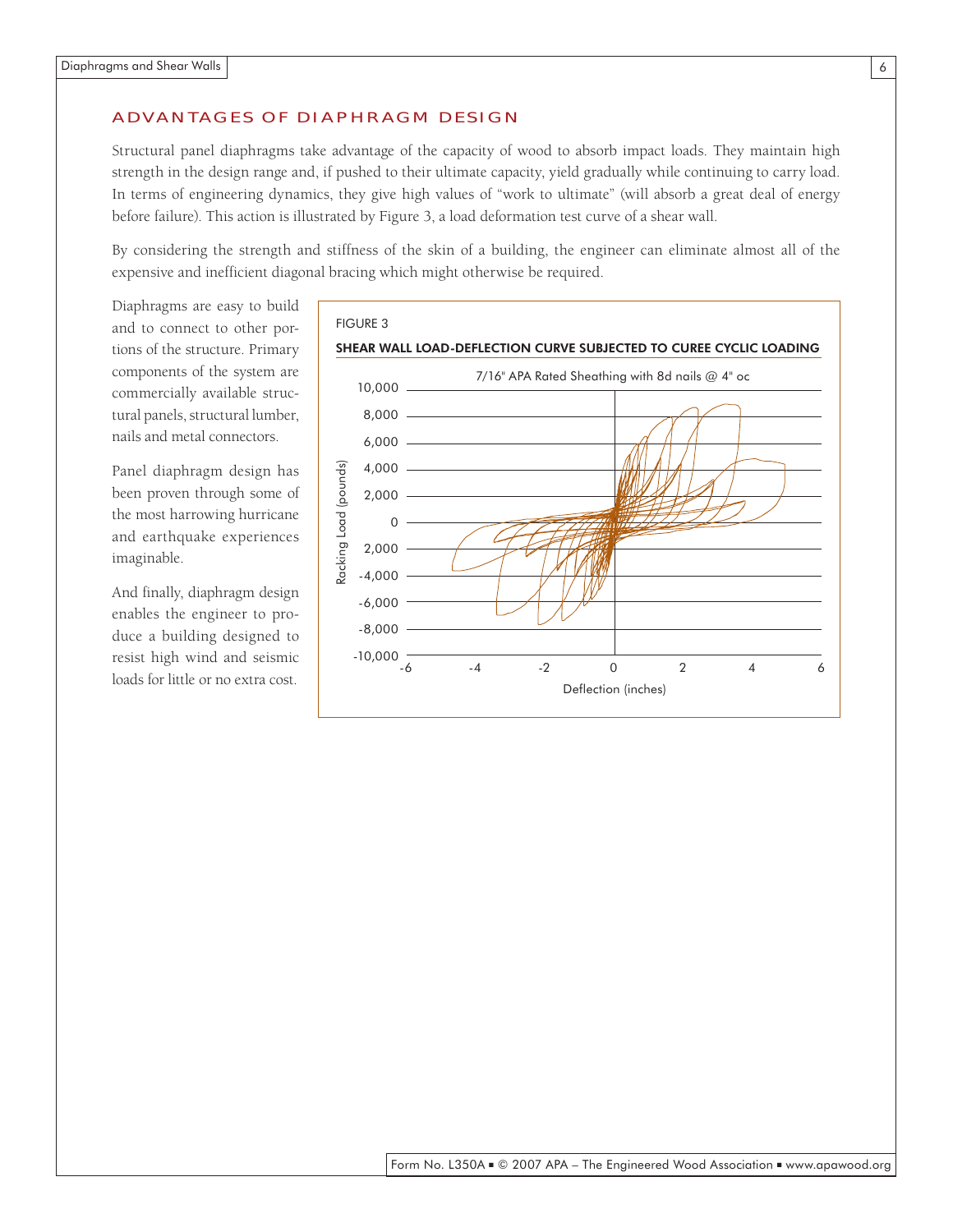#### ADVANTAGES OF DIAPHRAGM DESIGN

Structural panel diaphragms take advantage of the capacity of wood to absorb impact loads. They maintain high strength in the design range and, if pushed to their ultimate capacity, yield gradually while continuing to carry load. In terms of engineering dynamics, they give high values of "work to ultimate" (will absorb a great deal of energy before failure). This action is illustrated by Figure 3, a load deformation test curve of a shear wall.

By considering the strength and stiffness of the skin of a building, the engineer can eliminate almost all of the expensive and inefficient diagonal bracing which might otherwise be required.

Diaphragms are easy to build and to connect to other portions of the structure. Primary components of the system are commercially available structural panels, structural lumber, nails and metal connectors.

Panel diaphragm design has been proven through some of the most harrowing hurricane and earthquake experiences imaginable.

And finally, diaphragm design enables the engineer to produce a building designed to resist high wind and seismic loads for little or no extra cost.

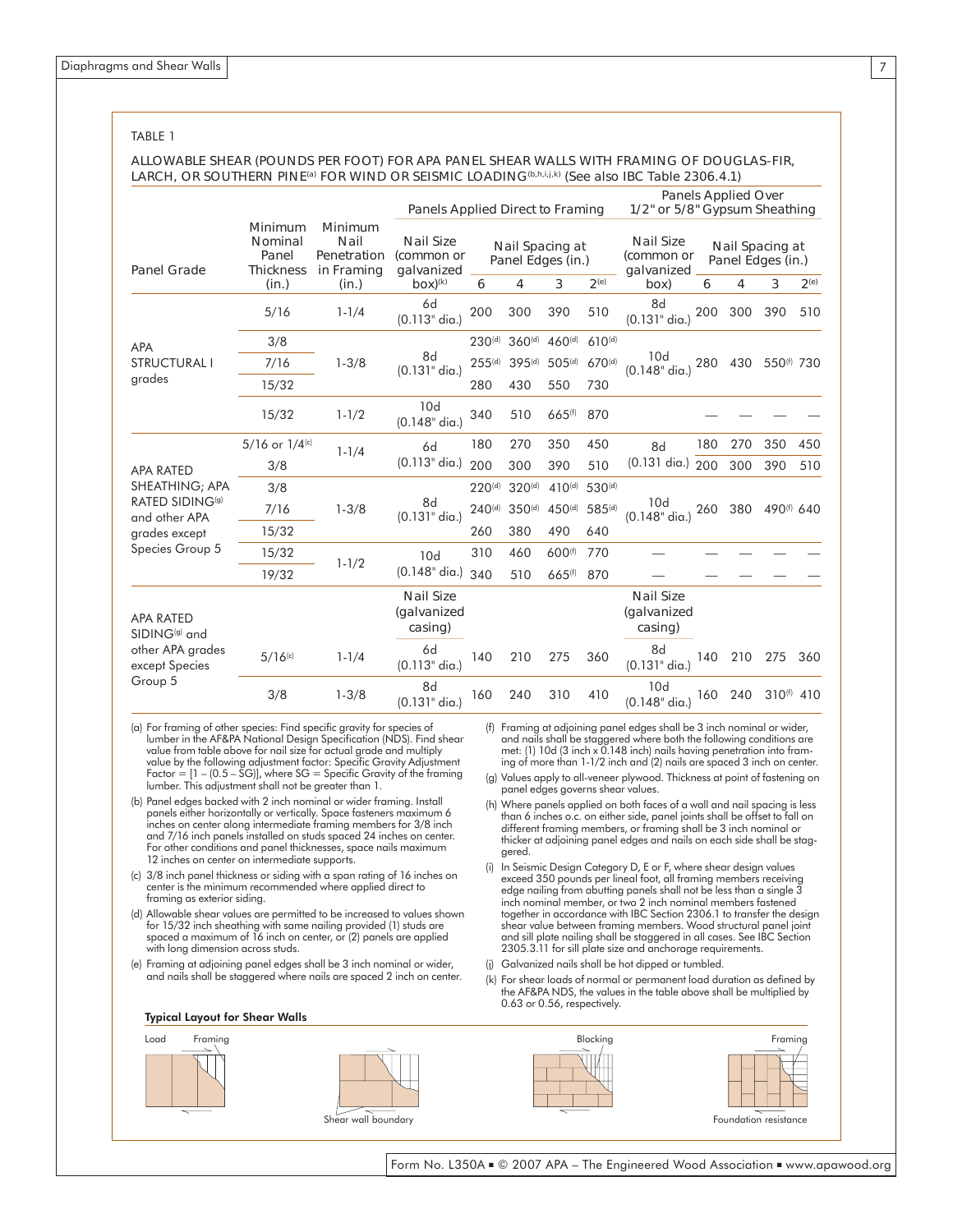#### TABLE 1

#### ALLOWABLE SHEAR (POUNDS PER FOOT) FOR APA PANEL SHEAR WALLS WITH FRAMING OF DOUGLAS-FIR, LARCH, OR SOUTHERN PINE<sup>(a)</sup> FOR WIND OR SEISMIC LOADING<sup>(b,h,i,j,k)</sup> (See also IBC Table 2306.4.1)

|                                               |                                                          |                                                       | Panels Applied Direct to Framing                             |                                                             |                    |                    |                    | <b>Panels Applied Over</b><br>1/2" or 5/8" Gypsum Sheathing |                                                                         |     |                        |     |
|-----------------------------------------------|----------------------------------------------------------|-------------------------------------------------------|--------------------------------------------------------------|-------------------------------------------------------------|--------------------|--------------------|--------------------|-------------------------------------------------------------|-------------------------------------------------------------------------|-----|------------------------|-----|
| <b>Panel Grade</b>                            | Minimum<br>Nominal<br>Panel<br><b>Thickness</b><br>(in.) | Minimum<br>Nail<br>Penetration<br>in Framing<br>(in.) | <b>Nail Size</b><br>(common or<br>galvanized<br>$box)^{(k)}$ | Nail Spacing at<br>Panel Edges (in.)<br>3<br>2(e)<br>6<br>4 |                    |                    |                    | <b>Nail Size</b><br>(common or<br>galvanized<br>(box        | Nail Spacing at<br>Panel Edges (in.)<br>3<br>2 <sup>(e)</sup><br>6<br>4 |     |                        |     |
|                                               | 5/16                                                     | $1 - 1/4$                                             | 6d<br>$(0.113"$ dia.)                                        | 200                                                         | 300                | 390                | 510                | 8d<br>$(0.131"$ dia.)                                       | 200                                                                     | 300 | 390                    | 510 |
| <b>APA</b><br><b>STRUCTURAL I</b>             | 3/8                                                      |                                                       |                                                              | 230 <sup>(d)</sup>                                          | 360 <sup>(d)</sup> | 460 <sup>(d)</sup> | $610^{(d)}$        |                                                             |                                                                         |     |                        |     |
|                                               | 7/16                                                     | $1 - 3/8$                                             | 8d<br>$(0.131"$ dia.)                                        | $255^{(d)}$                                                 | 395(d)             | $505^{(d)}$        | $670^{(d)}$        | 10d<br>$(0.148"$ dia.)                                      | 280                                                                     | 430 | 550(f) 730             |     |
| grades                                        | 15/32                                                    |                                                       |                                                              | 280                                                         | 430                | 550                | 730                |                                                             |                                                                         |     |                        |     |
|                                               | 15/32                                                    | $1 - 1/2$                                             | 10d<br>$(0.148"$ dia.)                                       | 340                                                         | 510                | 665 <sup>(f)</sup> | 870                |                                                             |                                                                         |     |                        |     |
| <b>APA RATED</b>                              | 5/16 or 1/4(c)                                           | $1 - 1/4$                                             | 6d                                                           | 180                                                         | 270                | 350                | 450                | 8d                                                          | 180                                                                     | 270 | 350                    | 450 |
|                                               | 3/8                                                      |                                                       | $(0.113"$ dia.)                                              | 200                                                         | 300                | 390                | 510                | $(0.131 \text{ dia.})$                                      | 200                                                                     | 300 | 390                    | 510 |
| SHEATHING; APA                                | 3/8                                                      |                                                       |                                                              | $220^{(d)}$                                                 | 320 <sup>(d)</sup> | $410^{(d)}$        | 530 <sup>(d)</sup> |                                                             |                                                                         |     |                        |     |
| RATED SIDING <sup>(g)</sup><br>and other APA  | 7/16                                                     | $1 - 3/8$                                             | 8d<br>$(0.131"$ dia.)                                        | $240^{(d)}$                                                 | 350 <sup>(d)</sup> | 450 <sup>(d)</sup> | 585(d)             | 10d<br>(0.148" dia.)                                        | 260                                                                     | 380 | 490 <sup>(f)</sup> 640 |     |
| grades except                                 | 15/32                                                    |                                                       |                                                              | 260                                                         | 380                | 490                | 640                |                                                             |                                                                         |     |                        |     |
| Species Group 5                               | 15/32                                                    | $1 - 1/2$                                             | 10d                                                          | 310                                                         | 460                | $600^{(f)}$        | 770                |                                                             |                                                                         |     |                        |     |
|                                               | 19/32                                                    |                                                       | $(0.148"$ dia.)                                              | 340                                                         | 510                | 665 <sup>(f)</sup> | 870                |                                                             |                                                                         |     |                        |     |
| <b>APA RATED</b><br>SIDING <sup>(g)</sup> and |                                                          |                                                       | <b>Nail Size</b><br>(galvanized<br>casing)                   |                                                             |                    |                    |                    | <b>Nail Size</b><br>(galvanized<br>casing)                  |                                                                         |     |                        |     |
| other APA grades<br>except Species            | $5/16$ <sup>(c)</sup>                                    | $1 - 1/4$                                             | 6d<br>$(0.113"$ dia.)                                        | 140                                                         | 210                | 275                | 360                | 8d<br>$(0.131"$ dia.)                                       | 140                                                                     | 210 | 275                    | 360 |
| Group 5                                       | 3/8                                                      | $1 - 3/8$                                             | 8d<br>$(0.131"$ dia.)                                        | 160                                                         | 240                | 310                | 410                | 10d<br>(0.148" dia.)                                        | 160                                                                     | 240 | 310 <sup>(f)</sup> 410 |     |

(a) For framing of other species: Find specific gravity for species of lumber in the AF&PA National Design Specification (NDS). Find shear value from table above for nail size for actual grade and multiply value by the following adjustment factor: Specific Gravity Adjustment Factor =  $[1 - (0.5 - SG)]$ , where SG = Specific Gravity of the framing lumber. This adjustment shall not be greater than 1.

- (b) Panel edges backed with 2 inch nominal or wider framing. Install panels either horizontally or vertically. Space fasteners maximum 6 inches on center along intermediate framing members for 3/8 inch and 7/16 inch panels installed on studs spaced 24 inches on center. For other conditions and panel thicknesses, space nails maximum 12 inches on center on intermediate supports.
- (c) 3/8 inch panel thickness or siding with a span rating of 16 inches on center is the minimum recommended where applied direct to framing as exterior siding.
- (d) Allowable shear values are permitted to be increased to values shown for 15/32 inch sheathing with same nailing provided (1) studs are spaced a maximum of 16 inch on center, or (2) panels are applied with long dimension across studs.
- (e) Framing at adjoining panel edges shall be 3 inch nominal or wider, and nails shall be staggered where nails are spaced 2 inch on center.



- (f) Framing at adjoining panel edges shall be 3 inch nominal or wider, and nails shall be staggered where both the following conditions are met: (1) 10d (3 inch x 0.148 inch) nails having penetration into framing of more than 1-1/2 inch and (2) nails are spaced 3 inch on center.
- (g) Values apply to all-veneer plywood. Thickness at point of fastening on panel edges governs shear values.
- (h) Where panels applied on both faces of a wall and nail spacing is less than 6 inches o.c. on either side, panel joints shall be offset to fall on different framing members, or framing shall be 3 inch nominal or thicker at adjoining panel edges and nails on each side shall be staggered.
- (i) In Seismic Design Category D, E or F, where shear design values exceed 350 pounds per lineal foot, all framing members receiving edge nailing from abutting panels shall not be less than a single 3 inch nominal member, or two 2 inch nominal members fastened together in accordance with IBC Section 2306.1 to transfer the design shear value between framing members. Wood structural panel joint and sill plate nailing shall be staggered in all cases. See IBC Section 2305.3.11 for sill plate size and anchorage requirements.
- (j) Galvanized nails shall be hot dipped or tumbled.
- (k) For shear loads of normal or permanent load duration as defined by the AF&PA NDS, the values in the table above shall be multiplied by 0.63 or 0.56, respectively.



7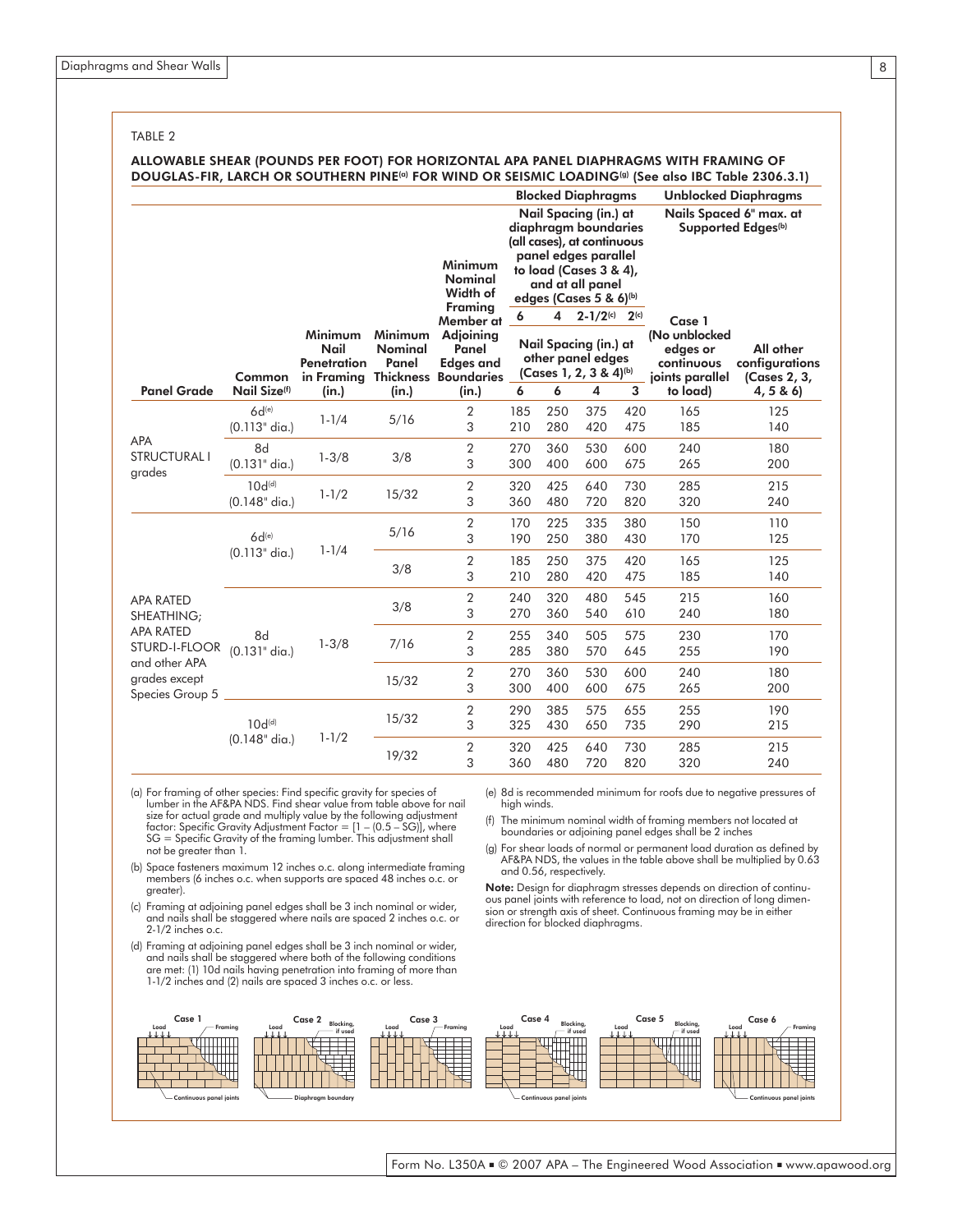TABLE 2

#### ALLOWABLE SHEAR (POUNDS PER FOOT) FOR HORIZONTAL APA PANEL DIAPHRAGMS WITH FRAMING OF DOUGLAS-FIR, LARCH OR SOUTHERN PINE<sup>(a)</sup> FOR WIND OR SEISMIC LOADING<sup>(a)</sup> (See also IBC Table 2306.3.1)

|                                                   |                                       |                                |                                           |                                                                           |                                                                      |            | <b>Blocked Diaphragms</b>                                                                                                                                                      |                                             | <b>Unblocked Diaphragms</b>                                |                                             |            |
|---------------------------------------------------|---------------------------------------|--------------------------------|-------------------------------------------|---------------------------------------------------------------------------|----------------------------------------------------------------------|------------|--------------------------------------------------------------------------------------------------------------------------------------------------------------------------------|---------------------------------------------|------------------------------------------------------------|---------------------------------------------|------------|
|                                                   |                                       |                                |                                           | Minimum<br><b>Nominal</b><br>Width of                                     |                                                                      |            | Nail Spacing (in.) at<br>diaphragm boundaries<br>(all cases), at continuous<br>panel edges parallel<br>to load (Cases $3 & 4$ ),<br>and at all panel<br>edges (Cases 5 & 6)(b) |                                             | Nails Spaced 6" max. at<br>Supported Edges <sup>(b)</sup>  |                                             |            |
|                                                   |                                       |                                |                                           |                                                                           | <b>Framing</b><br>Member at                                          | 6          | 4                                                                                                                                                                              | $2 - 1/2$ <sup>(c)</sup> $2$ <sup>(c)</sup> |                                                            | Case 1                                      |            |
|                                                   | Common                                | Minimum<br>Nail<br>Penetration | <b>Minimum</b><br><b>Nominal</b><br>Panel | Adjoining<br>Panel<br><b>Edges and</b><br>in Framing Thickness Boundaries | Nail Spacing (in.) at<br>other panel edges<br>(Cases 1, 2, 3 & 4)(b) |            |                                                                                                                                                                                |                                             | (No unblocked<br>edges or<br>continuous<br>joints parallel | All other<br>configurations<br>(Cases 2, 3, |            |
| <b>Panel Grade</b>                                | Nail Size <sup>(f)</sup>              | (in.)                          | (in.)                                     | (in.)                                                                     | 6                                                                    | 6          | 4                                                                                                                                                                              | 3                                           | to load)                                                   | 4, 5 & 6                                    |            |
| <b>APA</b><br><b>STRUCTURAL I</b><br>grades       | $6d^{(e)}$<br>(0.113" dia.)           | $1 - 1/4$                      | 5/16                                      | $\overline{2}$<br>3                                                       | 185<br>210                                                           | 250<br>280 | 375<br>420                                                                                                                                                                     | 420<br>475                                  | 165<br>185                                                 | 125<br>140                                  |            |
|                                                   | 8d<br>$(0.131"$ dia.)                 | $1 - 3/8$                      | 3/8                                       | $\overline{2}$<br>3                                                       | 270<br>300                                                           | 360<br>400 | 530<br>600                                                                                                                                                                     | 600<br>675                                  | 240<br>265                                                 | 180<br>200                                  |            |
|                                                   | 10d <sup>(d)</sup><br>$(0.148"$ dia.) | $1 - 1/2$                      | 15/32                                     | $\overline{2}$<br>3                                                       | 320<br>360                                                           | 425<br>480 | 640<br>720                                                                                                                                                                     | 730<br>820                                  | 285<br>320                                                 | 215<br>240                                  |            |
|                                                   | $6d^{(e)}$<br>$(0.113"$ dia.)         |                                |                                           | 5/16                                                                      | $\overline{2}$<br>3                                                  | 170<br>190 | 225<br>250                                                                                                                                                                     | 335<br>380                                  | 380<br>430                                                 | 150<br>170                                  | 110<br>125 |
|                                                   |                                       | $1 - 1/4$                      | 3/8                                       | $\overline{2}$<br>3                                                       | 185<br>210                                                           | 250<br>280 | 375<br>420                                                                                                                                                                     | 420<br>475                                  | 165<br>185                                                 | 125<br>140                                  |            |
| <b>APA RATED</b><br>SHEATHING;                    |                                       |                                | 3/8                                       | 2<br>3                                                                    | 240<br>270                                                           | 320<br>360 | 480<br>540                                                                                                                                                                     | 545<br>610                                  | 215<br>240                                                 | 160<br>180                                  |            |
| <b>APA RATED</b><br>STURD-I-FLOOR                 | 8d<br>$(0.131"$ dia.)                 | $1 - 3/8$                      | 7/16                                      | $\overline{2}$<br>3                                                       | 255<br>285                                                           | 340<br>380 | 505<br>570                                                                                                                                                                     | 575<br>645                                  | 230<br>255                                                 | 170<br>190                                  |            |
| and other APA<br>grades except<br>Species Group 5 |                                       |                                | 15/32                                     | 2<br>3                                                                    | 270<br>300                                                           | 360<br>400 | 530<br>600                                                                                                                                                                     | 600<br>675                                  | 240<br>265                                                 | 180<br>200                                  |            |
|                                                   | 10d <sup>(d)</sup>                    |                                | 15/32                                     | $\overline{2}$<br>3                                                       | 290<br>325                                                           | 385<br>430 | 575<br>650                                                                                                                                                                     | 655<br>735                                  | 255<br>290                                                 | 190<br>215                                  |            |
|                                                   | $(0.148"$ dia.)                       | $1 - 1/2$                      | 19/32                                     | $\overline{2}$<br>3                                                       | 320<br>360                                                           | 425<br>480 | 640<br>720                                                                                                                                                                     | 730<br>820                                  | 285<br>320                                                 | 215<br>240                                  |            |

- (a) For framing of other species: Find specific gravity for species of lumber in the AF&PA NDS. Find shear value from table above for nail size for actual grade and multiply value by the following adjustment factor: Specific Gravity Adjustment Factor = [1 – (0.5 – SG)], where SG = Specific Gravity of the framing lumber. This adjustment shall not be greater than 1.
- (b) Space fasteners maximum 12 inches o.c. along intermediate framing members (6 inches o.c. when supports are spaced 48 inches o.c. or greater).
- (c) Framing at adjoining panel edges shall be 3 inch nominal or wider, and nails shall be staggered where nails are spaced 2 inches o.c. or 2-1/2 inches o.c.
- (d) Framing at adjoining panel edges shall be 3 inch nominal or wider, and nails shall be staggered where both of the following conditions are met: (1) 10d nails having penetration into framing of more than 1-1/2 inches and (2) nails are spaced 3 inches o.c. or less.
- (e) 8d is recommended minimum for roofs due to negative pressures of high winds.
- (f) The minimum nominal width of framing members not located at boundaries or adjoining panel edges shall be 2 inches
- (g) For shear loads of normal or permanent load duration as defined by AF&PA NDS, the values in the table above shall be multiplied by 0.63 and 0.56, respectively.

Note: Design for diaphragm stresses depends on direction of continuous panel joints with reference to load, not on direction of long dimension or strength axis of sheet. Continuous framing may be in either direction for blocked diaphragms.

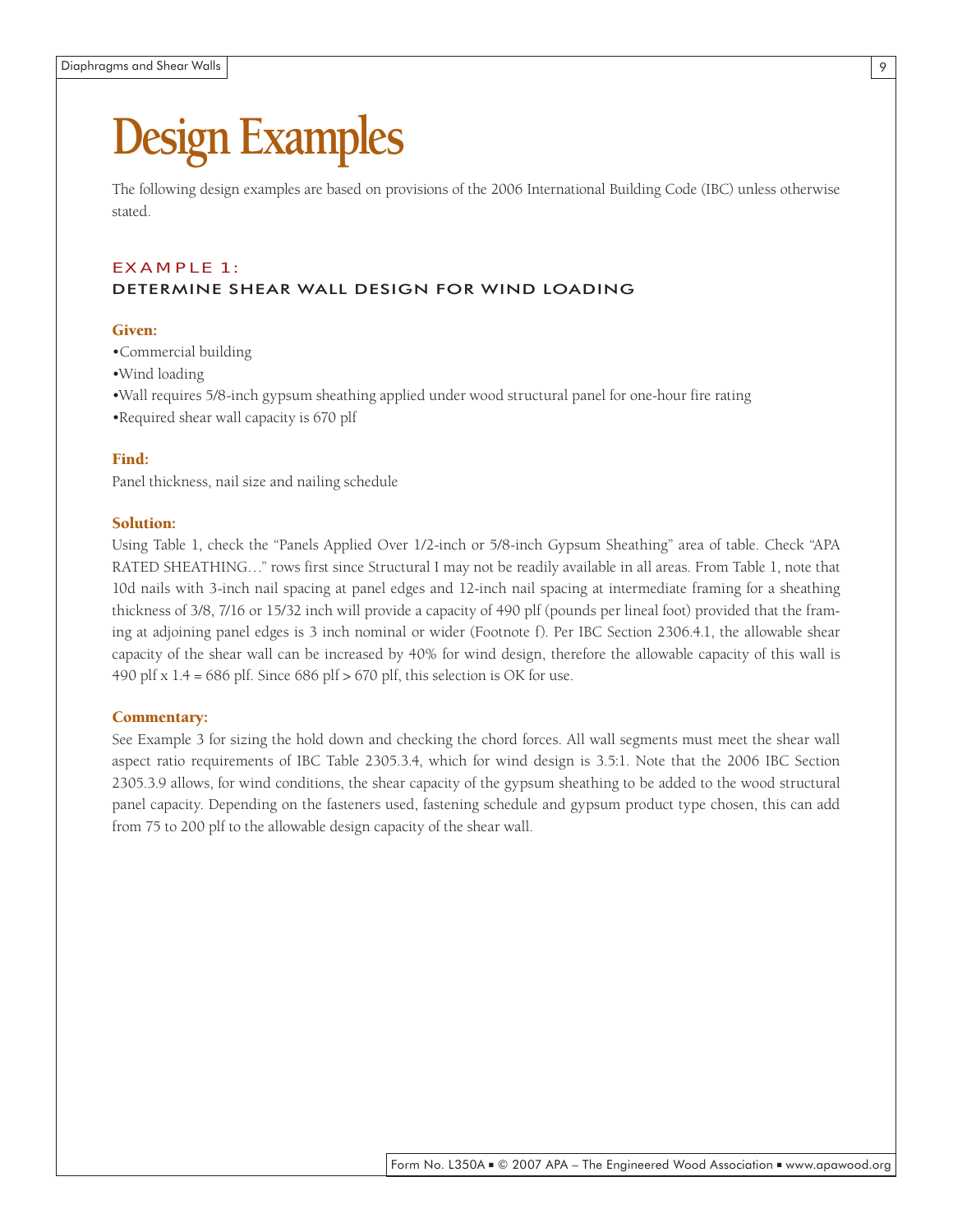## **Design Examples**

The following design examples are based on provisions of the 2006 International Building Code (IBC) unless otherwise stated.

#### EX AMPLE 1:

#### DETERMINE SHEAR WALL DESIGN FOR WIND LOADING

#### Given:

- •Commercial building
- •Wind loading
- •Wall requires 5/8-inch gypsum sheathing applied under wood structural panel for one-hour fire rating
- •Required shear wall capacity is 670 plf

#### Find:

Panel thickness, nail size and nailing schedule

#### Solution:

Using Table 1, check the "Panels Applied Over 1/2-inch or 5/8-inch Gypsum Sheathing" area of table. Check "APA RATED SHEATHING…" rows first since Structural I may not be readily available in all areas. From Table 1, note that 10d nails with 3-inch nail spacing at panel edges and 12-inch nail spacing at intermediate framing for a sheathing thickness of 3/8, 7/16 or 15/32 inch will provide a capacity of 490 plf (pounds per lineal foot) provided that the framing at adjoining panel edges is 3 inch nominal or wider (Footnote f). Per IBC Section 2306.4.1, the allowable shear capacity of the shear wall can be increased by 40% for wind design, therefore the allowable capacity of this wall is 490 plf  $x$  1.4 = 686 plf. Since 686 plf > 670 plf, this selection is OK for use.

#### Commentary:

See Example 3 for sizing the hold down and checking the chord forces. All wall segments must meet the shear wall aspect ratio requirements of IBC Table 2305.3.4, which for wind design is 3.5:1. Note that the 2006 IBC Section 2305.3.9 allows, for wind conditions, the shear capacity of the gypsum sheathing to be added to the wood structural panel capacity. Depending on the fasteners used, fastening schedule and gypsum product type chosen, this can add from 75 to 200 plf to the allowable design capacity of the shear wall.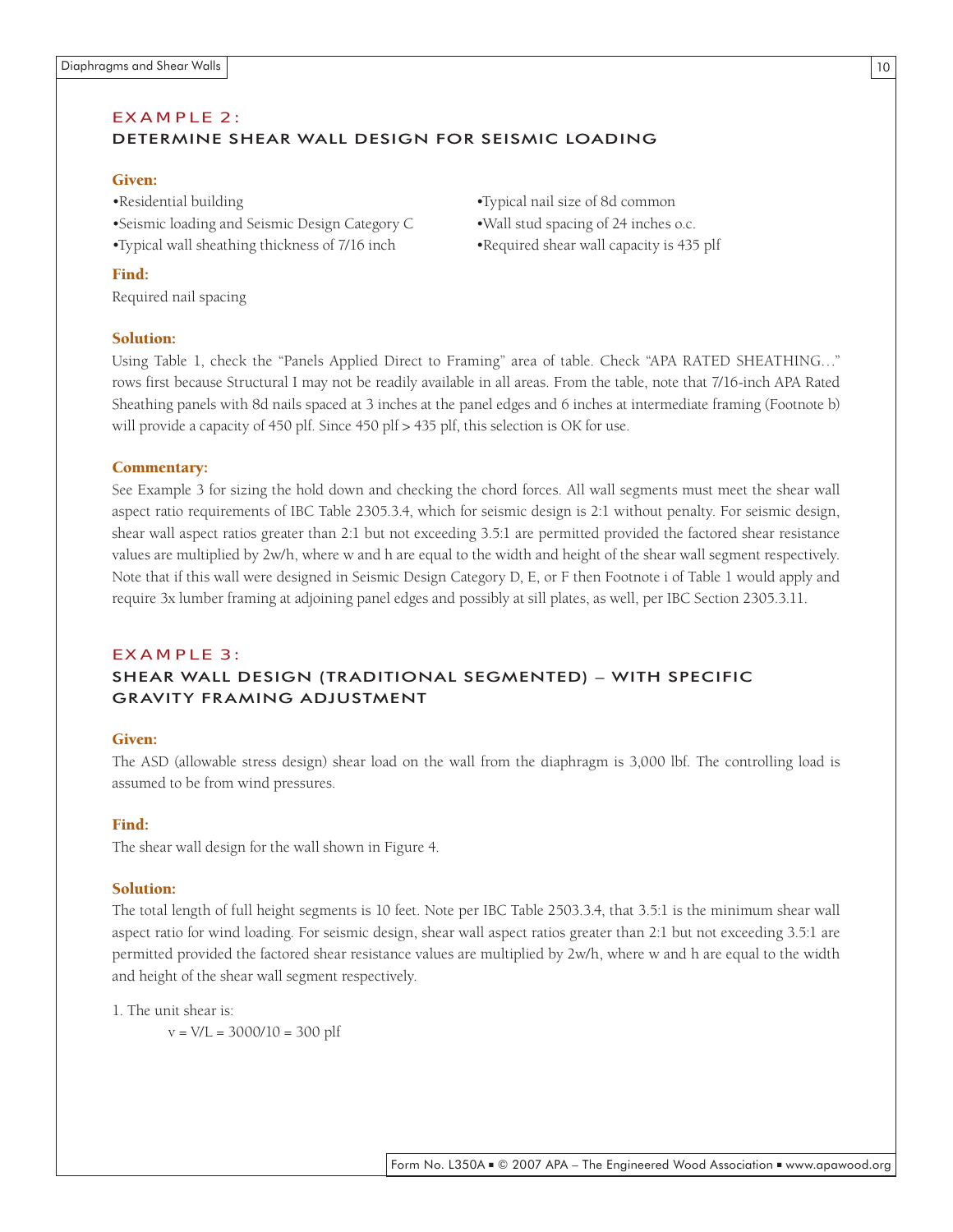#### EX AMPLE 2: DETERMINE SHEAR WALL DESIGN FOR SEISMIC LOADING

#### Given:

- •Residential building •Typical nail size of 8d common
- •Seismic loading and Seismic Design Category C •Wall stud spacing of 24 inches o.c.
- •Typical wall sheathing thickness of 7/16 inch •Required shear wall capacity is 435 plf
- 
- 

#### Find:

Required nail spacing

#### Solution:

Using Table 1, check the "Panels Applied Direct to Framing" area of table. Check "APA RATED SHEATHING…" rows first because Structural I may not be readily available in all areas. From the table, note that 7/16-inch APA Rated Sheathing panels with 8d nails spaced at 3 inches at the panel edges and 6 inches at intermediate framing (Footnote b) will provide a capacity of 450 plf. Since 450 plf > 435 plf, this selection is OK for use.

#### Commentary:

See Example 3 for sizing the hold down and checking the chord forces. All wall segments must meet the shear wall aspect ratio requirements of IBC Table 2305.3.4, which for seismic design is 2:1 without penalty. For seismic design, shear wall aspect ratios greater than 2:1 but not exceeding 3.5:1 are permitted provided the factored shear resistance values are multiplied by 2w/h, where w and h are equal to the width and height of the shear wall segment respectively. Note that if this wall were designed in Seismic Design Category D, E, or F then Footnote i of Table 1 would apply and require 3x lumber framing at adjoining panel edges and possibly at sill plates, as well, per IBC Section 2305.3.11.

#### EX AMPLE 3:

#### SHEAR WALL DESIGN (TRADITIONAL SEGMENTED) – WITH SPECIFIC GRAVITY FRAMING ADJUSTMENT

#### Given:

The ASD (allowable stress design) shear load on the wall from the diaphragm is 3,000 lbf. The controlling load is assumed to be from wind pressures.

#### Find:

The shear wall design for the wall shown in Figure 4.

#### Solution:

The total length of full height segments is 10 feet. Note per IBC Table 2503.3.4, that 3.5:1 is the minimum shear wall aspect ratio for wind loading. For seismic design, shear wall aspect ratios greater than 2:1 but not exceeding 3.5:1 are permitted provided the factored shear resistance values are multiplied by 2w/h, where w and h are equal to the width and height of the shear wall segment respectively.

1. The unit shear is:

 $v = V/L = 3000/10 = 300$  plf

#### 10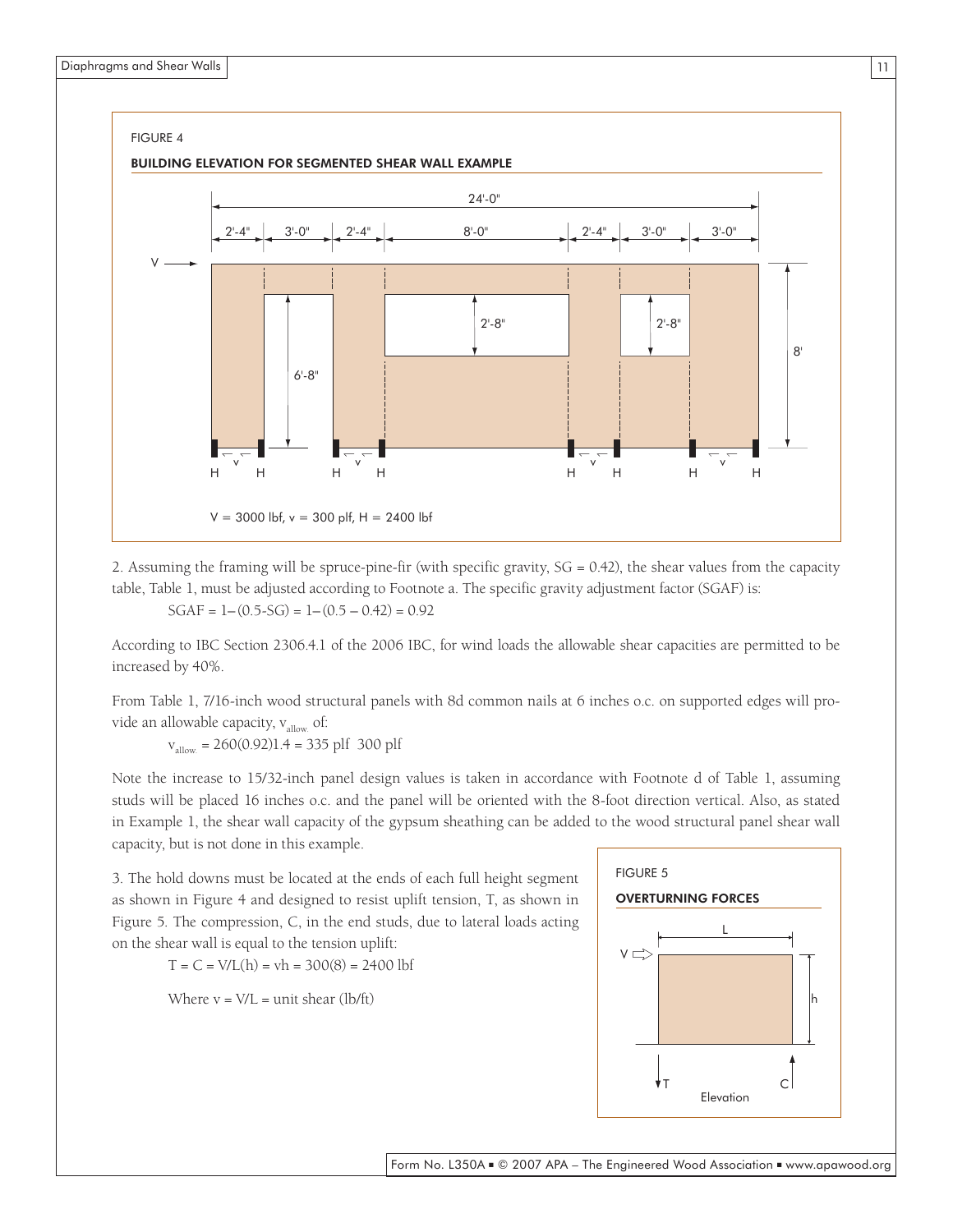11



BUILDING ELEVATION FOR SEGMENTED SHEAR WALL EXAMPLE



2. Assuming the framing will be spruce-pine-fir (with specific gravity, SG = 0.42), the shear values from the capacity table, Table 1, must be adjusted according to Footnote a. The specific gravity adjustment factor (SGAF) is:

 $SGAF = 1 - (0.5-SG) = 1 - (0.5 - 0.42) = 0.92$ 

According to IBC Section 2306.4.1 of the 2006 IBC, for wind loads the allowable shear capacities are permitted to be increased by 40%.

From Table 1, 7/16-inch wood structural panels with 8d common nails at 6 inches o.c. on supported edges will provide an allowable capacity,  $v_{\text{allow}}$  of:

 $v_{\text{allow}} = 260(0.92)1.4 = 335 \text{ plf } 300 \text{ plf}$ 

Note the increase to 15/32-inch panel design values is taken in accordance with Footnote d of Table 1, assuming studs will be placed 16 inches o.c. and the panel will be oriented with the 8-foot direction vertical. Also, as stated in Example 1, the shear wall capacity of the gypsum sheathing can be added to the wood structural panel shear wall capacity, but is not done in this example.

3. The hold downs must be located at the ends of each full height segment as shown in Figure 4 and designed to resist uplift tension, T, as shown in Figure 5. The compression, C, in the end studs, due to lateral loads acting on the shear wall is equal to the tension uplift:

 $T = C = V/L(h) = vh = 300(8) = 2400$  lbf

Where  $v = V/L =$  unit shear (lb/ft)

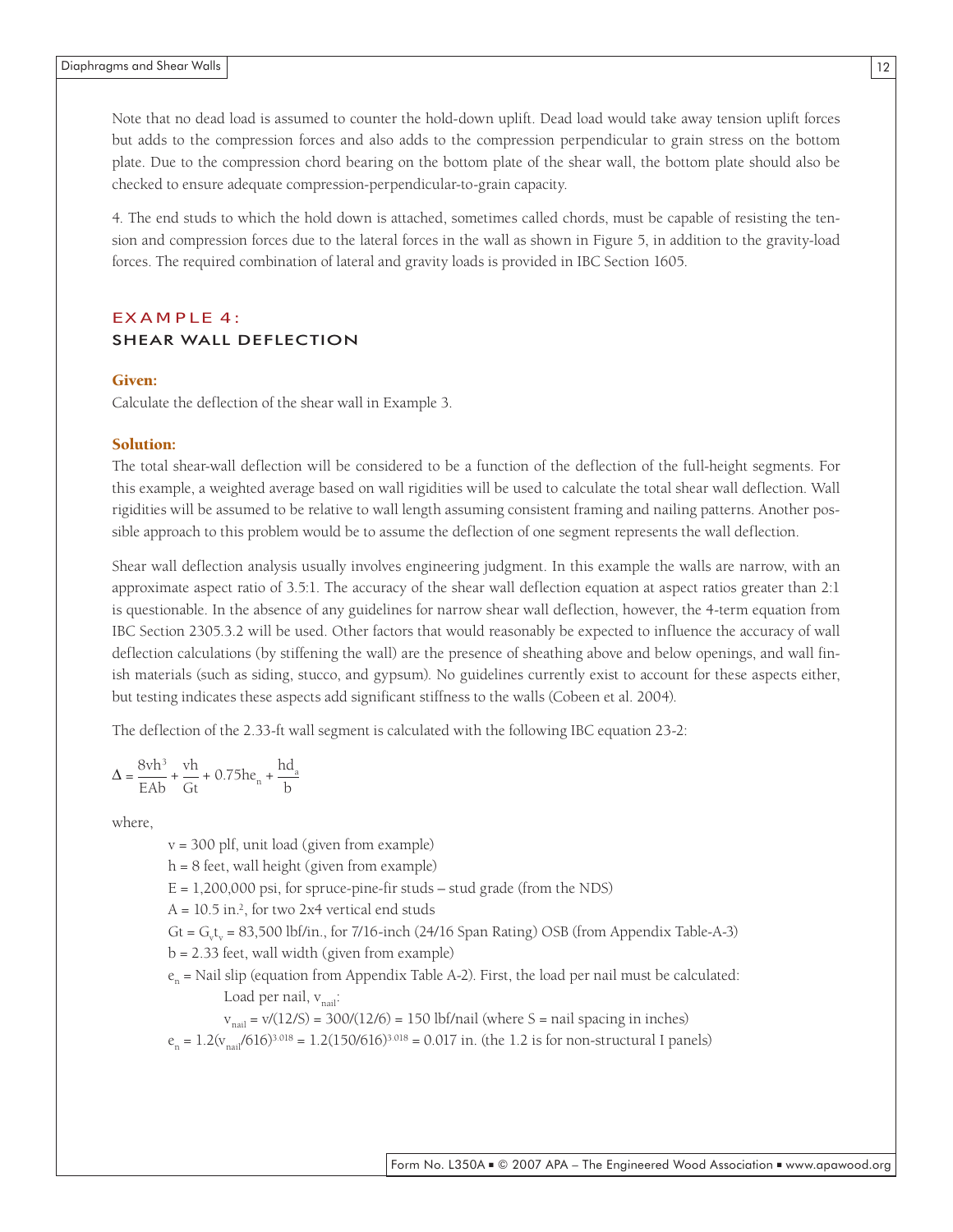Note that no dead load is assumed to counter the hold-down uplift. Dead load would take away tension uplift forces but adds to the compression forces and also adds to the compression perpendicular to grain stress on the bottom plate. Due to the compression chord bearing on the bottom plate of the shear wall, the bottom plate should also be checked to ensure adequate compression-perpendicular-to-grain capacity.

4. The end studs to which the hold down is attached, sometimes called chords, must be capable of resisting the tension and compression forces due to the lateral forces in the wall as shown in Figure 5, in addition to the gravity-load forces. The required combination of lateral and gravity loads is provided in IBC Section 1605.

#### EX AMPLE 4: SHEAR WALL DEFLECTION

#### Given:

Calculate the deflection of the shear wall in Example 3.

#### Solution:

The total shear-wall deflection will be considered to be a function of the deflection of the full-height segments. For this example, a weighted average based on wall rigidities will be used to calculate the total shear wall deflection. Wall rigidities will be assumed to be relative to wall length assuming consistent framing and nailing patterns. Another possible approach to this problem would be to assume the deflection of one segment represents the wall deflection.

Shear wall deflection analysis usually involves engineering judgment. In this example the walls are narrow, with an approximate aspect ratio of 3.5:1. The accuracy of the shear wall deflection equation at aspect ratios greater than 2:1 is questionable. In the absence of any guidelines for narrow shear wall deflection, however, the 4-term equation from IBC Section 2305.3.2 will be used. Other factors that would reasonably be expected to influence the accuracy of wall deflection calculations (by stiffening the wall) are the presence of sheathing above and below openings, and wall finish materials (such as siding, stucco, and gypsum). No guidelines currently exist to account for these aspects either, but testing indicates these aspects add significant stiffness to the walls (Cobeen et al. 2004).

The deflection of the 2.33-ft wall segment is calculated with the following IBC equation 23-2:

$$
\Delta = \frac{8vh^3}{EAb} + \frac{vh}{Gt} + 0.75he_n + \frac{hd_a}{b}
$$

where,

v = 300 plf, unit load (given from example)

 $h = 8$  feet, wall height (given from example)

 $E = 1,200,000$  psi, for spruce-pine-fir studs – stud grade (from the NDS)

 $A = 10.5$  in.<sup>2</sup>, for two 2x4 vertical end studs

 $Gt = G_v t_v = 83,500$  lbf/in., for 7/16-inch (24/16 Span Rating) OSB (from Appendix Table-A-3)

 $b = 2.33$  feet, wall width (given from example)

 $e_n$  = Nail slip (equation from Appendix Table A-2). First, the load per nail must be calculated: Load per nail,  $v_{\text{mail}}$ :

 $v_{\text{mail}} = v/(12/S) = 300/(12/6) = 150 \text{ lbf/mail}$  (where S = nail spacing in inches)

 $e_n = 1.2(v_{n\text{ail}}/616)^{3.018} = 1.2(150/616)^{3.018} = 0.017$  in. (the 1.2 is for non-structural I panels)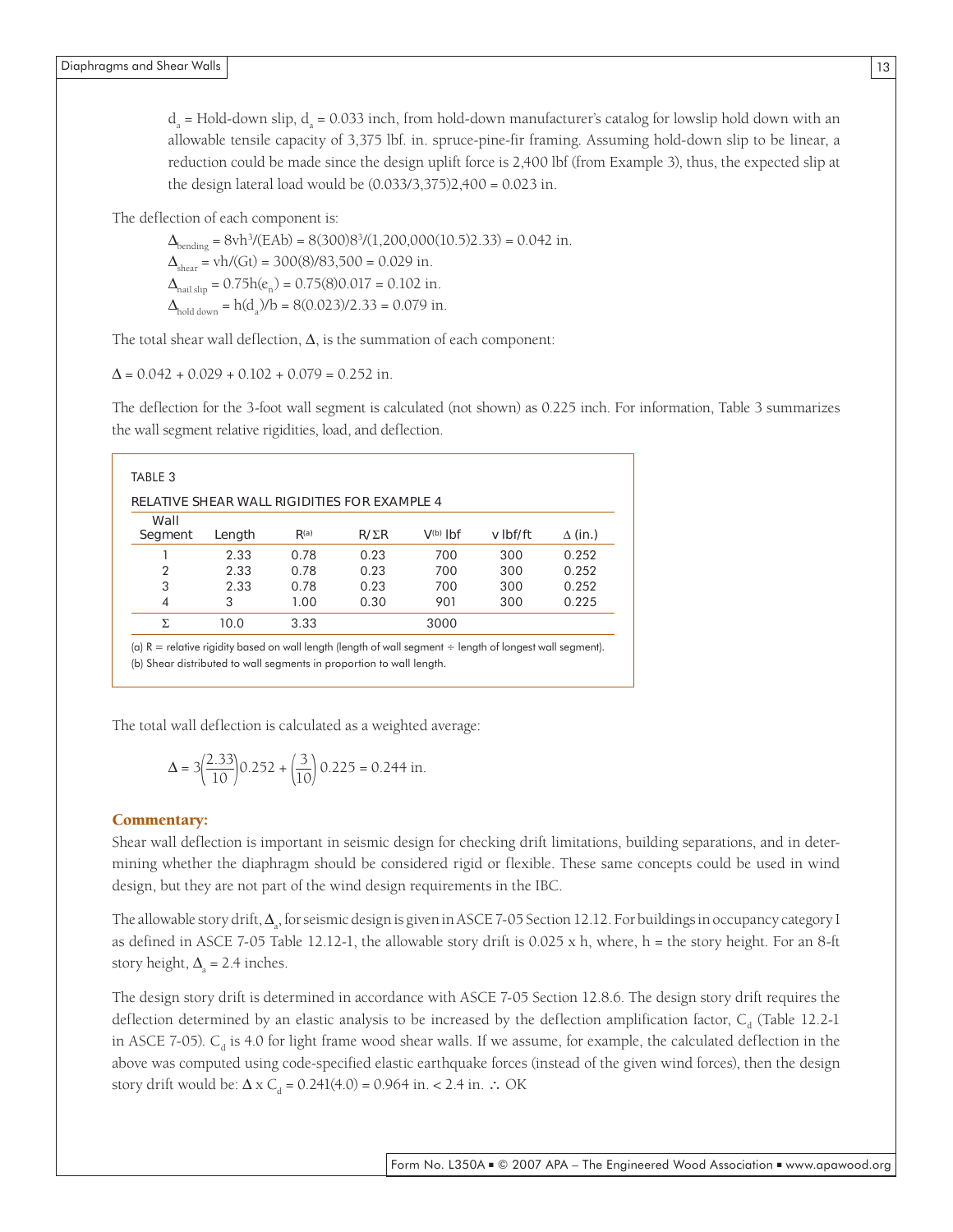$d_a$  = Hold-down slip,  $d_a$  = 0.033 inch, from hold-down manufacturer's catalog for lowslip hold down with an allowable tensile capacity of 3,375 lbf. in. spruce-pine-fir framing. Assuming hold-down slip to be linear, a reduction could be made since the design uplift force is 2,400 lbf (from Example 3), thus, the expected slip at the design lateral load would be (0.033/3,375)2,400 = 0.023 in.

The deflection of each component is:

 $\Delta_{\text{bending}} = 8 \text{vh}^3 / (\text{EAb}) = 8(300)8^3 / (1,200,000(10.5)2.33) = 0.042 \text{ in.}$  $\Delta_{\text{shear}} = \text{vh}/(\text{Gt}) = 300(8)/83{,}500 = 0.029$  in.  $\Delta_{\text{nail-slin}} = 0.75h(e_n) = 0.75(8)0.017 = 0.102$  in.  $\Delta_{\text{hold down}} = h(d_a)/b = 8(0.023)/2.33 = 0.079$  in.

The total shear wall deflection,  $\Delta$ , is the summation of each component:

 $\Delta = 0.042 + 0.029 + 0.102 + 0.079 = 0.252$  in.

The deflection for the 3-foot wall segment is calculated (not shown) as 0.225 inch. For information, Table 3 summarizes the wall segment relative rigidities, load, and deflection.

|                 | <b>RELATIVE SHEAR WALL RIGIDITIES FOR EXAMPLE 4</b> |                  |              |               |          |                |
|-----------------|-----------------------------------------------------|------------------|--------------|---------------|----------|----------------|
| Wall<br>Segment | Length                                              | R <sup>(a)</sup> | $R/\Sigma R$ | $V^{(b)}$ lbf | v Ibf/ft | $\Delta$ (in.) |
|                 | 2.33                                                | 0.78             | 0.23         | 700           | 300      | 0.252          |
| $\overline{2}$  | 2.33                                                | 0.78             | 0.23         | 700           | 300      | 0.252          |
| 3               | 2.33                                                | 0.78             | 0.23         | 700           | 300      | 0.252          |
| $\overline{4}$  | 3                                                   | 1.00             | 0.30         | 901           | 300      | 0.225          |
| Σ.              | 10.0                                                | 3.33             |              | 3000          |          |                |

(a)  $R =$  relative rigidity based on wall length (length of wall segment  $\div$  length of longest wall segment). (b) Shear distributed to wall segments in proportion to wall length.

The total wall deflection is calculated as a weighted average:

$$
\Delta = 3 \left( \frac{2.33}{10} \right) 0.252 + \left( \frac{3}{10} \right) 0.225 = 0.244 \text{ in.}
$$

#### Commentary:

Shear wall deflection is important in seismic design for checking drift limitations, building separations, and in determining whether the diaphragm should be considered rigid or flexible. These same concepts could be used in wind design, but they are not part of the wind design requirements in the IBC.

The allowable story drift,  $\Delta_{\rm a}$ , for seismic design is given in ASCE 7-05 Section 12.12. For buildings in occupancy category I as defined in ASCE 7-05 Table 12.12-1, the allowable story drift is 0.025 x h, where, h = the story height. For an 8-ft story height,  $\Delta_{\rm a} = 2.4$  inches.

The design story drift is determined in accordance with ASCE 7-05 Section 12.8.6. The design story drift requires the deflection determined by an elastic analysis to be increased by the deflection amplification factor,  $C_a$  (Table 12.2-1 in ASCE 7-05).  $C_d$  is 4.0 for light frame wood shear walls. If we assume, for example, the calculated deflection in the above was computed using code-specified elastic earthquake forces (instead of the given wind forces), then the design story drift would be:  $\Delta \times C_d = 0.241(4.0) = 0.964$  in. < 2.4 in. ∴ OK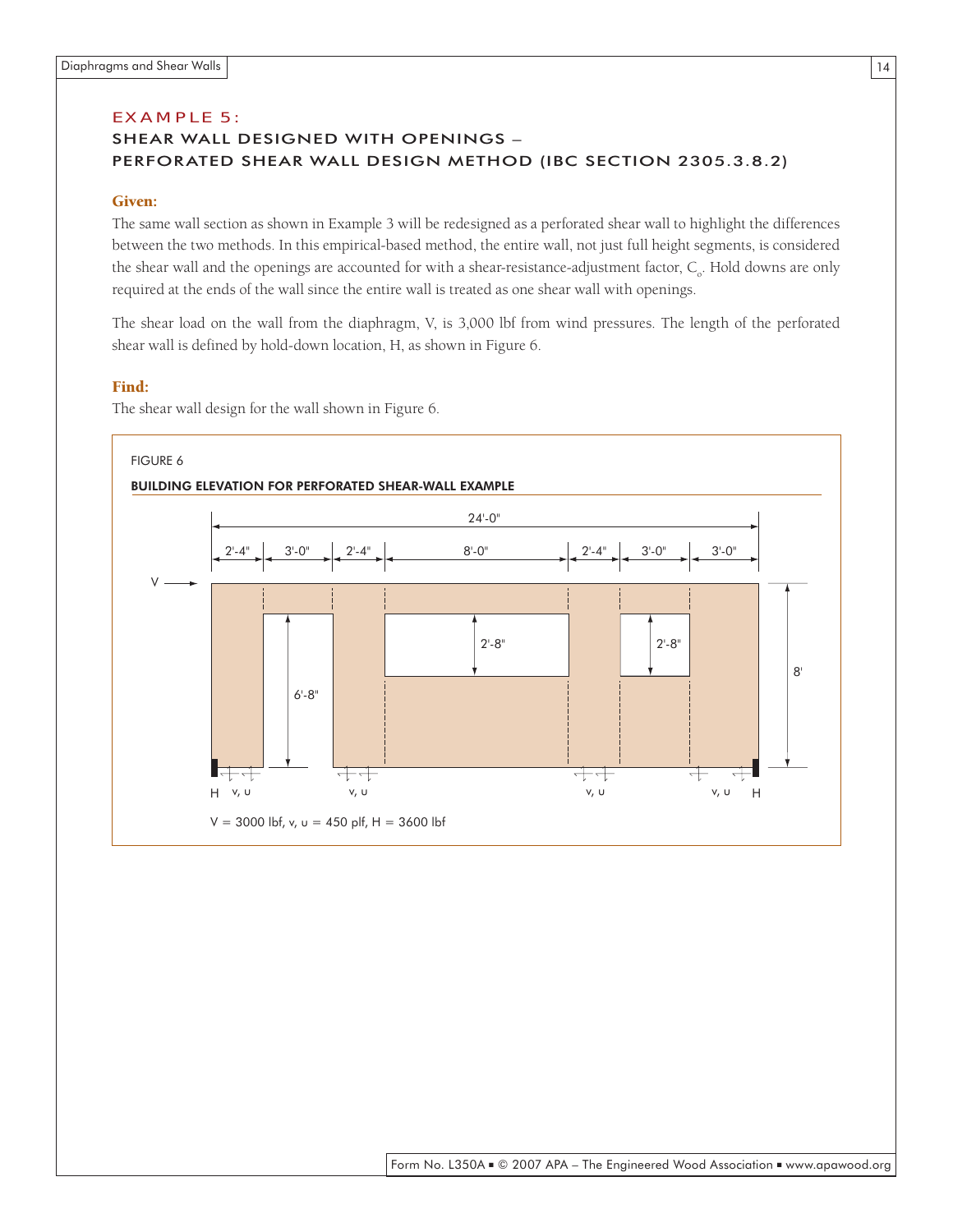#### EX AMPLE 5:

#### SHEAR WALL DESIGNED WITH OPENINGS – PERFORATED SHEAR WALL DESIGN METHOD (IBC SECTION 2305.3.8.2)

#### Given:

The same wall section as shown in Example 3 will be redesigned as a perforated shear wall to highlight the differences between the two methods. In this empirical-based method, the entire wall, not just full height segments, is considered the shear wall and the openings are accounted for with a shear-resistance-adjustment factor, C<sub>o</sub>. Hold downs are only required at the ends of the wall since the entire wall is treated as one shear wall with openings.

The shear load on the wall from the diaphragm, V, is 3,000 lbf from wind pressures. The length of the perforated shear wall is defined by hold-down location, H, as shown in Figure 6.

#### Find:

The shear wall design for the wall shown in Figure 6.

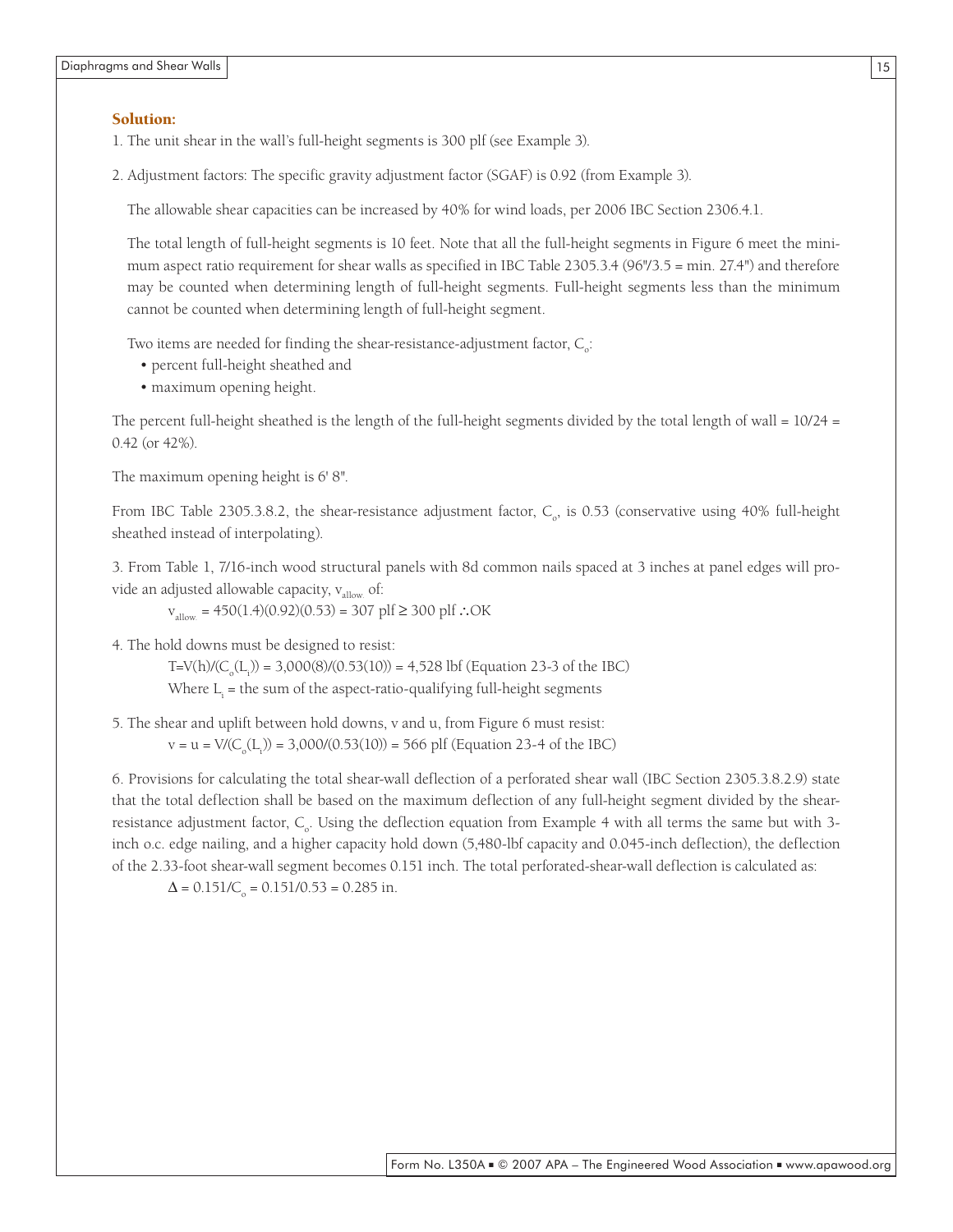#### Solution:

1. The unit shear in the wall's full-height segments is 300 plf (see Example 3).

2. Adjustment factors: The specific gravity adjustment factor (SGAF) is 0.92 (from Example 3).

The allowable shear capacities can be increased by 40% for wind loads, per 2006 IBC Section 2306.4.1.

The total length of full-height segments is 10 feet. Note that all the full-height segments in Figure 6 meet the minimum aspect ratio requirement for shear walls as specified in IBC Table 2305.3.4 (96"/3.5 = min. 27.4") and therefore may be counted when determining length of full-height segments. Full-height segments less than the minimum cannot be counted when determining length of full-height segment.

Two items are needed for finding the shear-resistance-adjustment factor,  $C_{\circ}$ :

- percent full-height sheathed and
- maximum opening height.

The percent full-height sheathed is the length of the full-height segments divided by the total length of wall =  $10/24$  = 0.42 (or 42%).

The maximum opening height is 6' 8".

From IBC Table 2305.3.8.2, the shear-resistance adjustment factor,  $C_{\circ}$ , is 0.53 (conservative using 40% full-height sheathed instead of interpolating).

3. From Table 1, 7/16-inch wood structural panels with 8d common nails spaced at 3 inches at panel edges will provide an adjusted allowable capacity,  $v_{\text{allow}}$  of:

 $v<sub>allow</sub> = 450(1.4)(0.92)(0.53) = 307$  plf ≥ 300 plf ∴OK

4. The hold downs must be designed to resist:

T=V(h)/(C<sub>o</sub>(L<sub>i</sub>)) = 3,000(8)/(0.53(10)) = 4,528 lbf (Equation 23-3 of the IBC) Where  $L_i$  = the sum of the aspect-ratio-qualifying full-height segments

5. The shear and uplift between hold downs, v and u, from Figure 6 must resist:

 $v = u = V/(C_o(L_i)) = 3,000/(0.53(10)) = 566 \text{ plf}$  (Equation 23-4 of the IBC)

6. Provisions for calculating the total shear-wall deflection of a perforated shear wall (IBC Section 2305.3.8.2.9) state that the total deflection shall be based on the maximum deflection of any full-height segment divided by the shearresistance adjustment factor,  $C_{o}$ . Using the deflection equation from Example 4 with all terms the same but with 3inch o.c. edge nailing, and a higher capacity hold down (5,480-lbf capacity and 0.045-inch deflection), the deflection of the 2.33-foot shear-wall segment becomes 0.151 inch. The total perforated-shear-wall deflection is calculated as:

 $\Delta = 0.151/C_{\rm o} = 0.151/0.53 = 0.285$  in.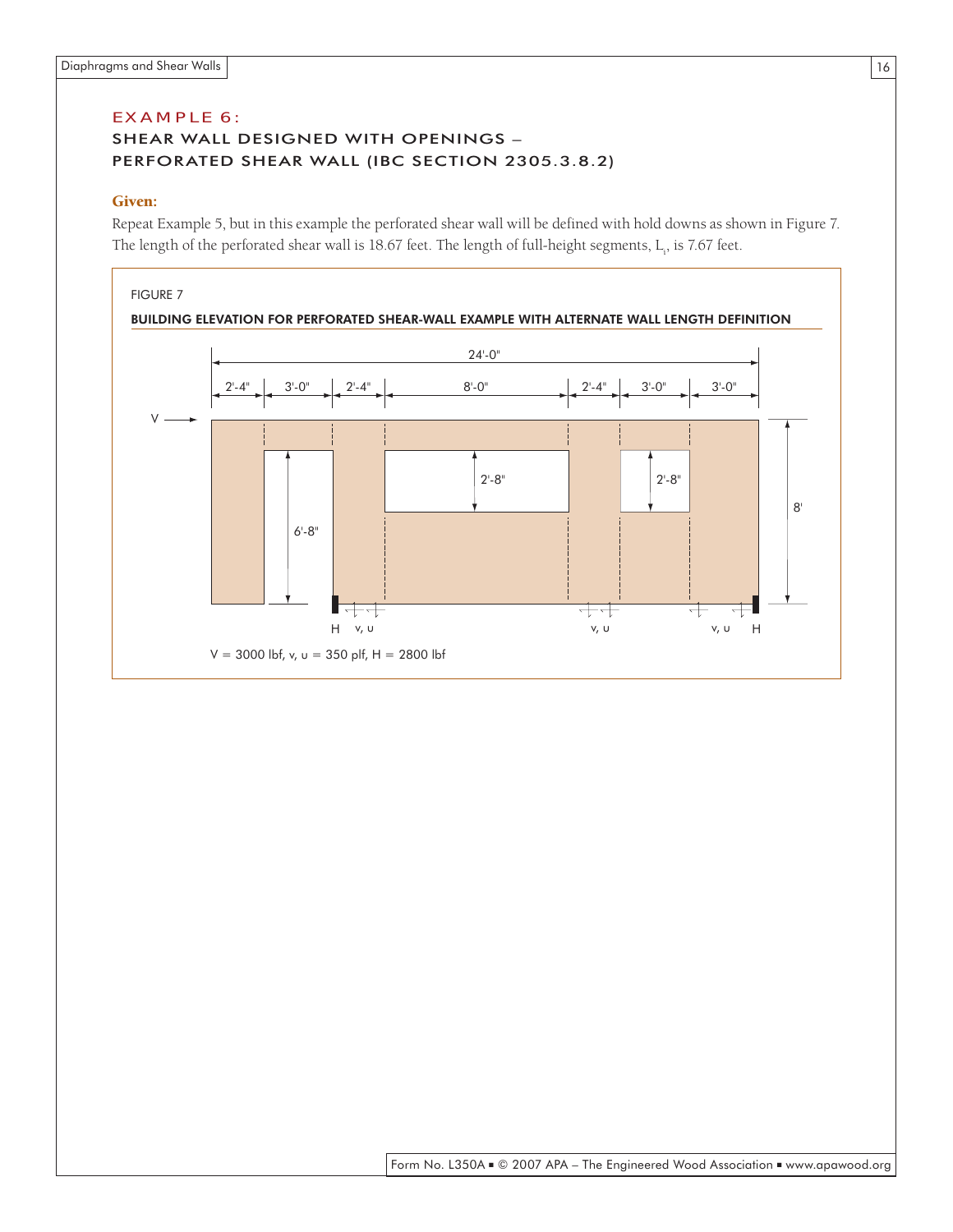#### EX AMPLE 6: SHEAR WALL DESIGNED WITH OPENINGS – PERFORATED SHEAR WALL (IBC SECTION 2305.3.8.2)

#### Given:

Repeat Example 5, but in this example the perforated shear wall will be defined with hold downs as shown in Figure 7. The length of the perforated shear wall is 18.67 feet. The length of full-height segments,  $L_i$ , is 7.67 feet.

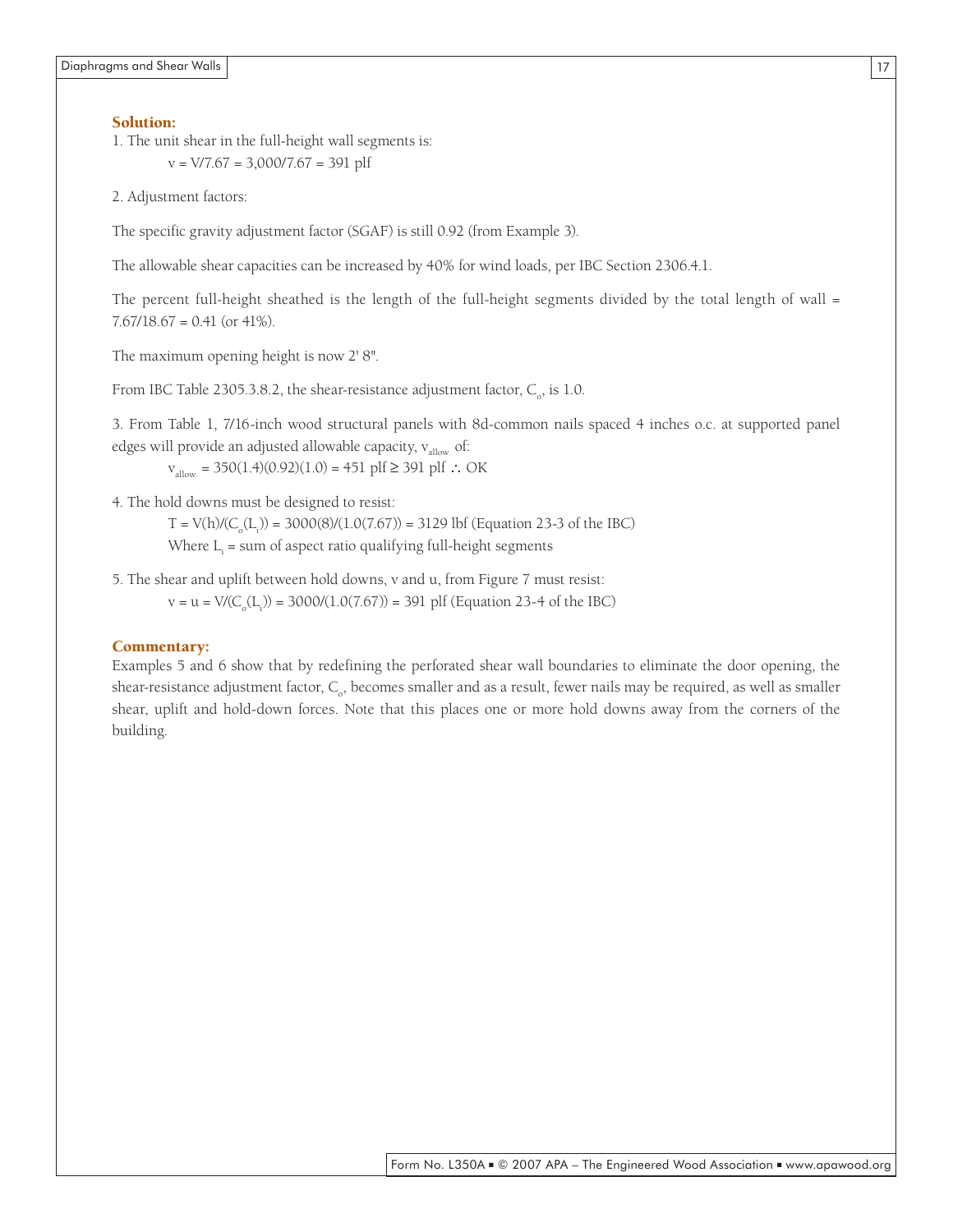#### Solution:

1. The unit shear in the full-height wall segments is:  $v = V/7.67 = 3,000/7.67 = 391$  plf

2. Adjustment factors:

The specific gravity adjustment factor (SGAF) is still 0.92 (from Example 3).

The allowable shear capacities can be increased by 40% for wind loads, per IBC Section 2306.4.1.

The percent full-height sheathed is the length of the full-height segments divided by the total length of wall  $=$  $7.67/18.67 = 0.41$  (or 41%).

The maximum opening height is now 2' 8".

From IBC Table 2305.3.8.2, the shear-resistance adjustment factor,  $C_{\rm o}$ , is 1.0.

3. From Table 1, 7/16-inch wood structural panels with 8d-common nails spaced 4 inches o.c. at supported panel edges will provide an adjusted allowable capacity,  $v_{\text{slow}}$  of:

 $v_{\text{allow}} = 350(1.4)(0.92)(1.0) = 451 \text{ plf} ≥ 391 \text{ plf}$  ∴ OK

4. The hold downs must be designed to resist:

 $T = V(h)/(C_o(L_i)) = 3000(8)/(1.0(7.67)) = 3129$  lbf (Equation 23-3 of the IBC)

Where  $L_i$  = sum of aspect ratio qualifying full-height segments

5. The shear and uplift between hold downs, v and u, from Figure 7 must resist:

 $v = u = V/(C_o(L_i)) = 3000/(1.0(7.67)) = 391$  plf (Equation 23-4 of the IBC)

#### Commentary:

Examples 5 and 6 show that by redefining the perforated shear wall boundaries to eliminate the door opening, the shear-resistance adjustment factor,  $C_{\rm o}$ , becomes smaller and as a result, fewer nails may be required, as well as smaller shear, uplift and hold-down forces. Note that this places one or more hold downs away from the corners of the building.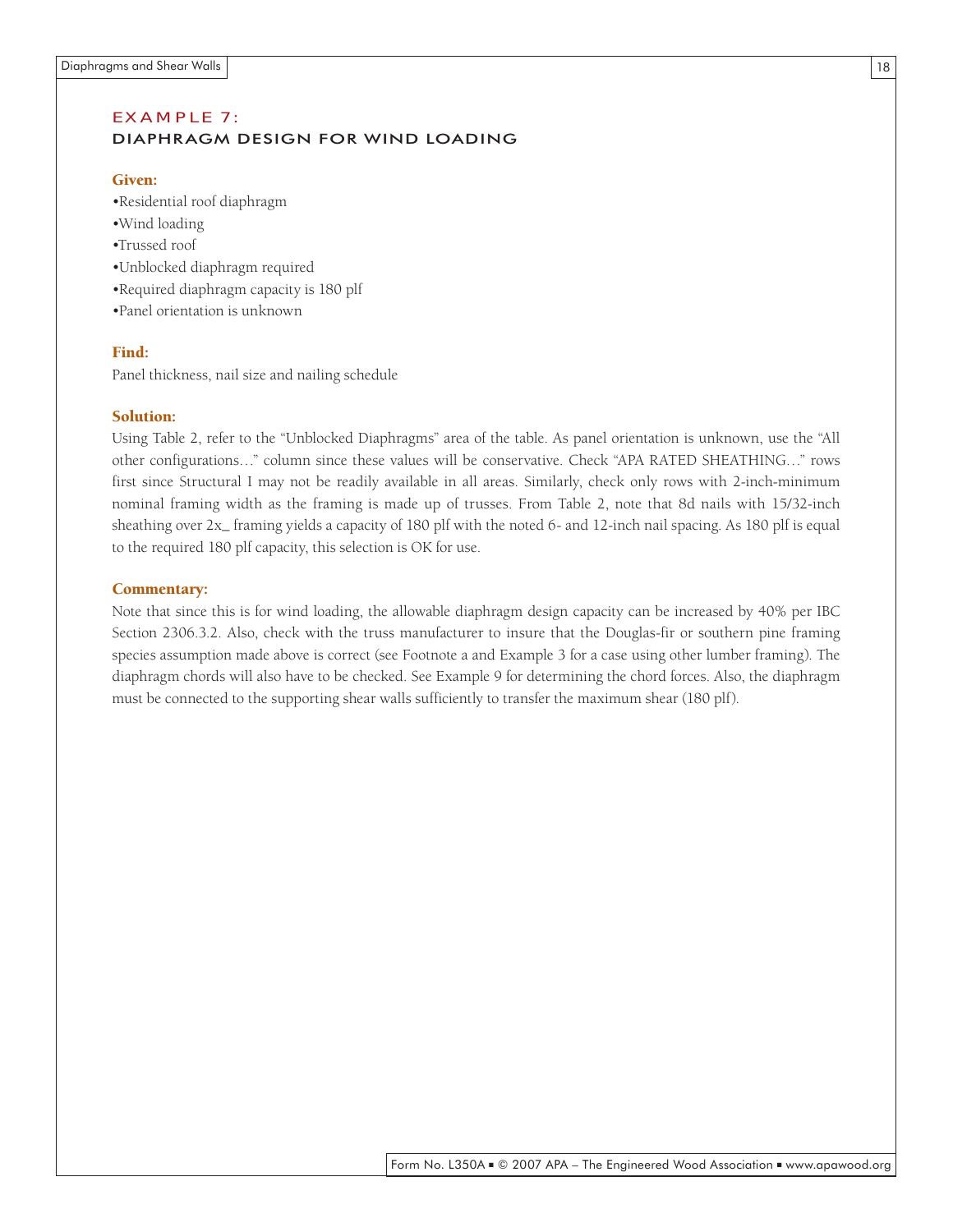#### EX AMPLE 7: DIAPHRAGM DESIGN FOR WIND LOADING

#### Given:

- •Residential roof diaphragm
- •Wind loading
- •Trussed roof
- •Unblocked diaphragm required
- •Required diaphragm capacity is 180 plf
- •Panel orientation is unknown

#### Find:

Panel thickness, nail size and nailing schedule

#### Solution:

Using Table 2, refer to the "Unblocked Diaphragms" area of the table. As panel orientation is unknown, use the "All other configurations…" column since these values will be conservative. Check "APA RATED SHEATHING…" rows first since Structural I may not be readily available in all areas. Similarly, check only rows with 2-inch-minimum nominal framing width as the framing is made up of trusses. From Table 2, note that 8d nails with 15/32-inch sheathing over  $2x$  framing yields a capacity of 180 plf with the noted 6- and 12-inch nail spacing. As 180 plf is equal to the required 180 plf capacity, this selection is OK for use.

#### Commentary:

Note that since this is for wind loading, the allowable diaphragm design capacity can be increased by 40% per IBC Section 2306.3.2. Also, check with the truss manufacturer to insure that the Douglas-fir or southern pine framing species assumption made above is correct (see Footnote a and Example 3 for a case using other lumber framing). The diaphragm chords will also have to be checked. See Example 9 for determining the chord forces. Also, the diaphragm must be connected to the supporting shear walls sufficiently to transfer the maximum shear (180 plf).

18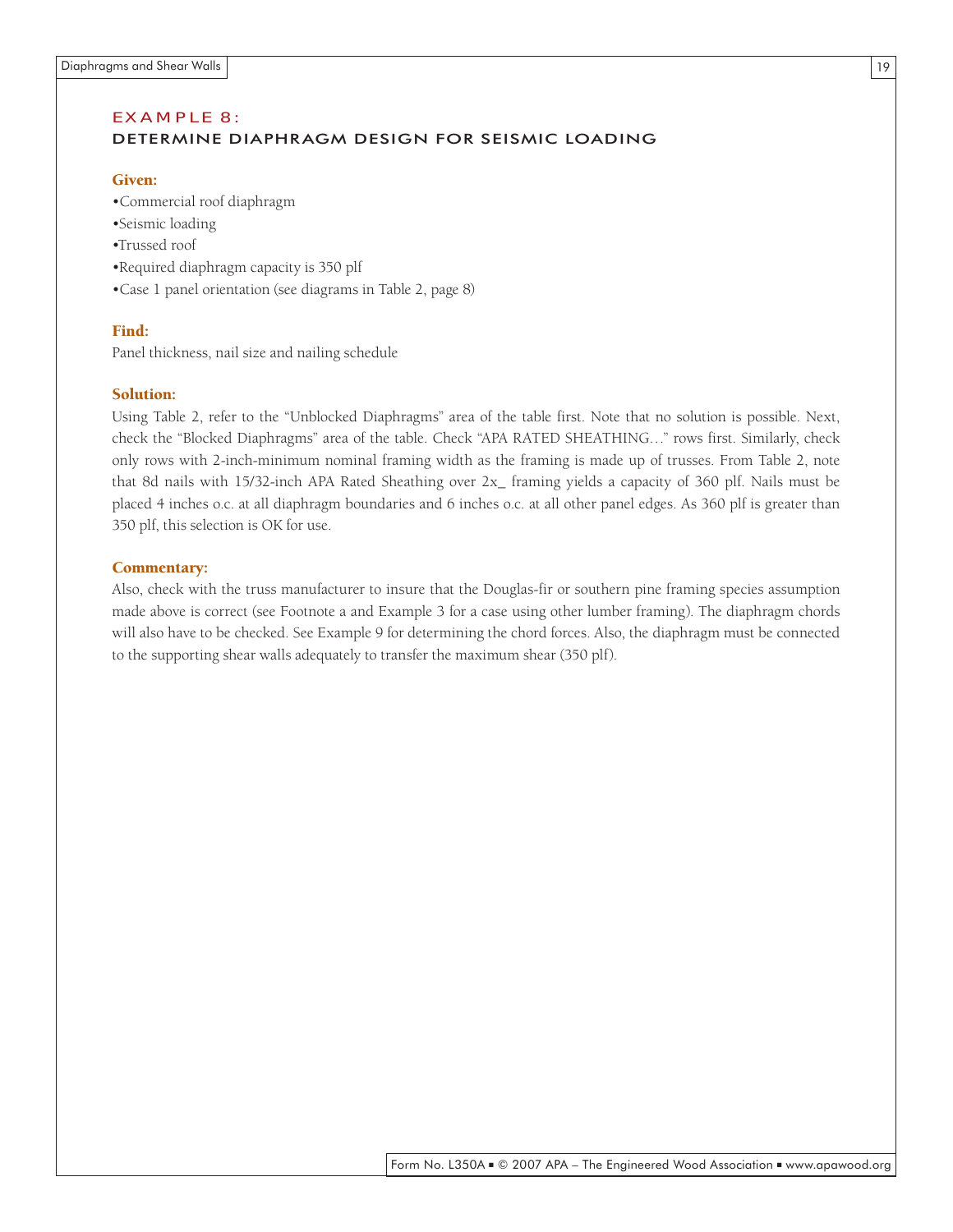#### EX AMPLE 8:

#### DETERMINE DIAPHRAGM DESIGN FOR SEISMIC LOADING

#### Given:

- •Commercial roof diaphragm
- •Seismic loading
- •Trussed roof
- •Required diaphragm capacity is 350 plf
- •Case 1 panel orientation (see diagrams in Table 2, page 8)

#### Find:

Panel thickness, nail size and nailing schedule

#### Solution:

Using Table 2, refer to the "Unblocked Diaphragms" area of the table first. Note that no solution is possible. Next, check the "Blocked Diaphragms" area of the table. Check "APA RATED SHEATHING…" rows first. Similarly, check only rows with 2-inch-minimum nominal framing width as the framing is made up of trusses. From Table 2, note that 8d nails with 15/32-inch APA Rated Sheathing over 2x\_ framing yields a capacity of 360 plf. Nails must be placed 4 inches o.c. at all diaphragm boundaries and 6 inches o.c. at all other panel edges. As 360 plf is greater than 350 plf, this selection is OK for use.

#### Commentary:

Also, check with the truss manufacturer to insure that the Douglas-fir or southern pine framing species assumption made above is correct (see Footnote a and Example 3 for a case using other lumber framing). The diaphragm chords will also have to be checked. See Example 9 for determining the chord forces. Also, the diaphragm must be connected to the supporting shear walls adequately to transfer the maximum shear (350 plf).

19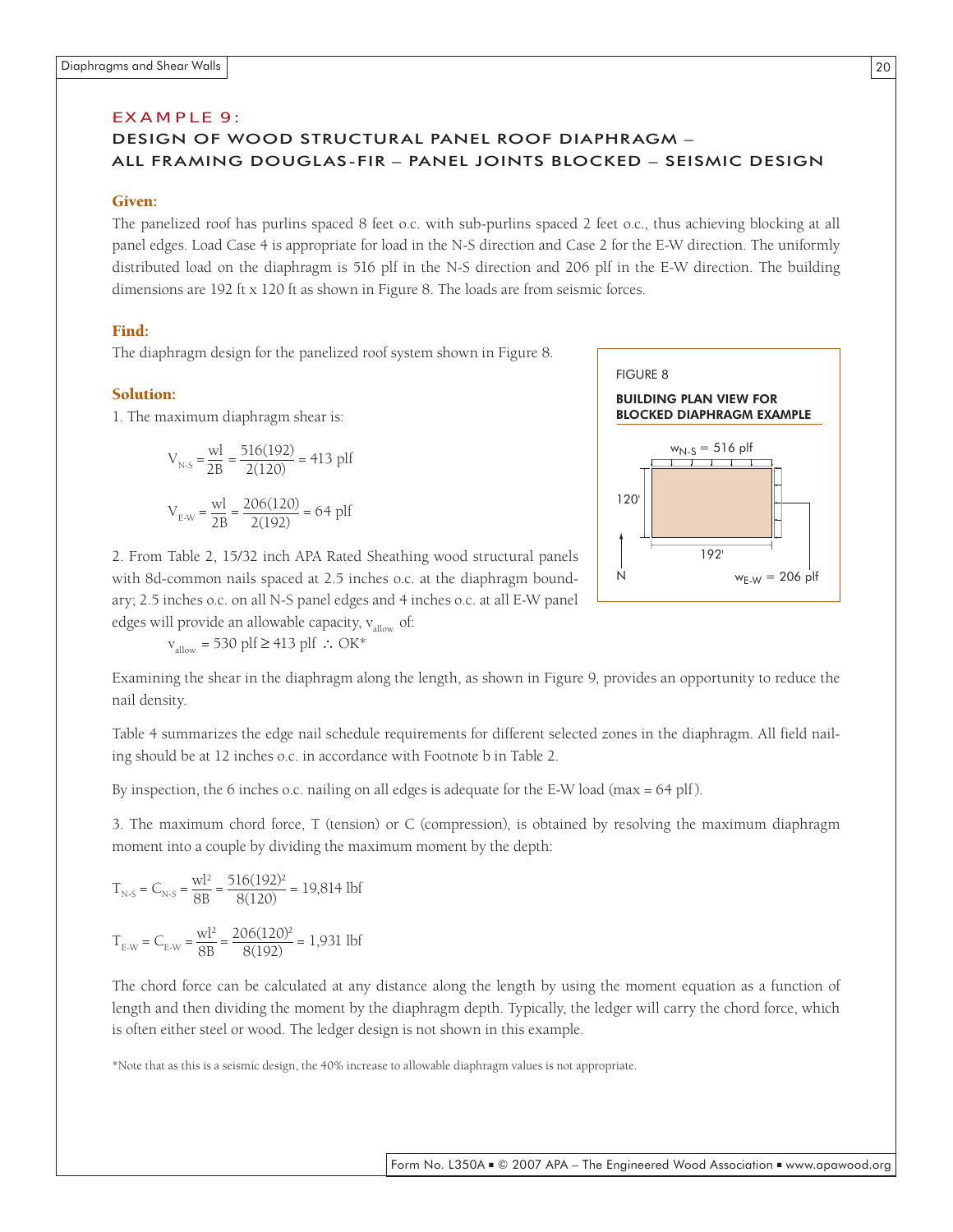#### EX AMPLE 9:

#### DESIGN OF WOOD STRUCTURAL PANEL ROOF DIAPHRAGM – ALL FRAMING DOUGLAS-FIR – PANEL JOINTS BLOCKED – SEISMIC DESIGN

#### Given:

The panelized roof has purlins spaced 8 feet o.c. with sub-purlins spaced 2 feet o.c., thus achieving blocking at all panel edges. Load Case 4 is appropriate for load in the N-S direction and Case 2 for the E-W direction. The uniformly distributed load on the diaphragm is 516 plf in the N-S direction and 206 plf in the E-W direction. The building dimensions are 192 ft x 120 ft as shown in Figure 8. The loads are from seismic forces.

#### Find:

The diaphragm design for the panelized roof system shown in Figure 8.

#### Solution:

1. The maximum diaphragm shear is:

$$
V_{N-S} = \frac{wl}{2B} = \frac{516(192)}{2(120)} = 413 \text{ pIf}
$$
  
 $V_{E-W} = \frac{wl}{2B} = \frac{206(120)}{2(192)} = 64 \text{ pIf}$ 

2. From Table 2, 15/32 inch APA Rated Sheathing wood structural panels with 8d-common nails spaced at 2.5 inches o.c. at the diaphragm boundary; 2.5 inches o.c. on all N-S panel edges and 4 inches o.c. at all E-W panel edges will provide an allowable capacity,  $v_{\text{slow}}$  of:

 $v_{\text{allow}}$  = 530 plf ≥ 413 plf ∴ OK\*



Examining the shear in the diaphragm along the length, as shown in Figure 9, provides an opportunity to reduce the nail density.

Table 4 summarizes the edge nail schedule requirements for different selected zones in the diaphragm. All field nailing should be at 12 inches o.c. in accordance with Footnote b in Table 2.

By inspection, the 6 inches o.c. nailing on all edges is adequate for the E-W load (max =  $64$  plf).

3. The maximum chord force, T (tension) or C (compression), is obtained by resolving the maximum diaphragm moment into a couple by dividing the maximum moment by the depth:

$$
T_{N-S} = C_{N-S} = \frac{wl^2}{8B} = \frac{516(192)^2}{8(120)} = 19,814 \text{ lbf}
$$

$$
T_{E-W} = C_{E-W} = \frac{wl^2}{8B} = \frac{206(120)^2}{8(192)} = 1,931 \text{ lbf}
$$

The chord force can be calculated at any distance along the length by using the moment equation as a function of length and then dividing the moment by the diaphragm depth. Typically, the ledger will carry the chord force, which is often either steel or wood. The ledger design is not shown in this example.

\*Note that as this is a seismic design, the 40% increase to allowable diaphragm values is not appropriate.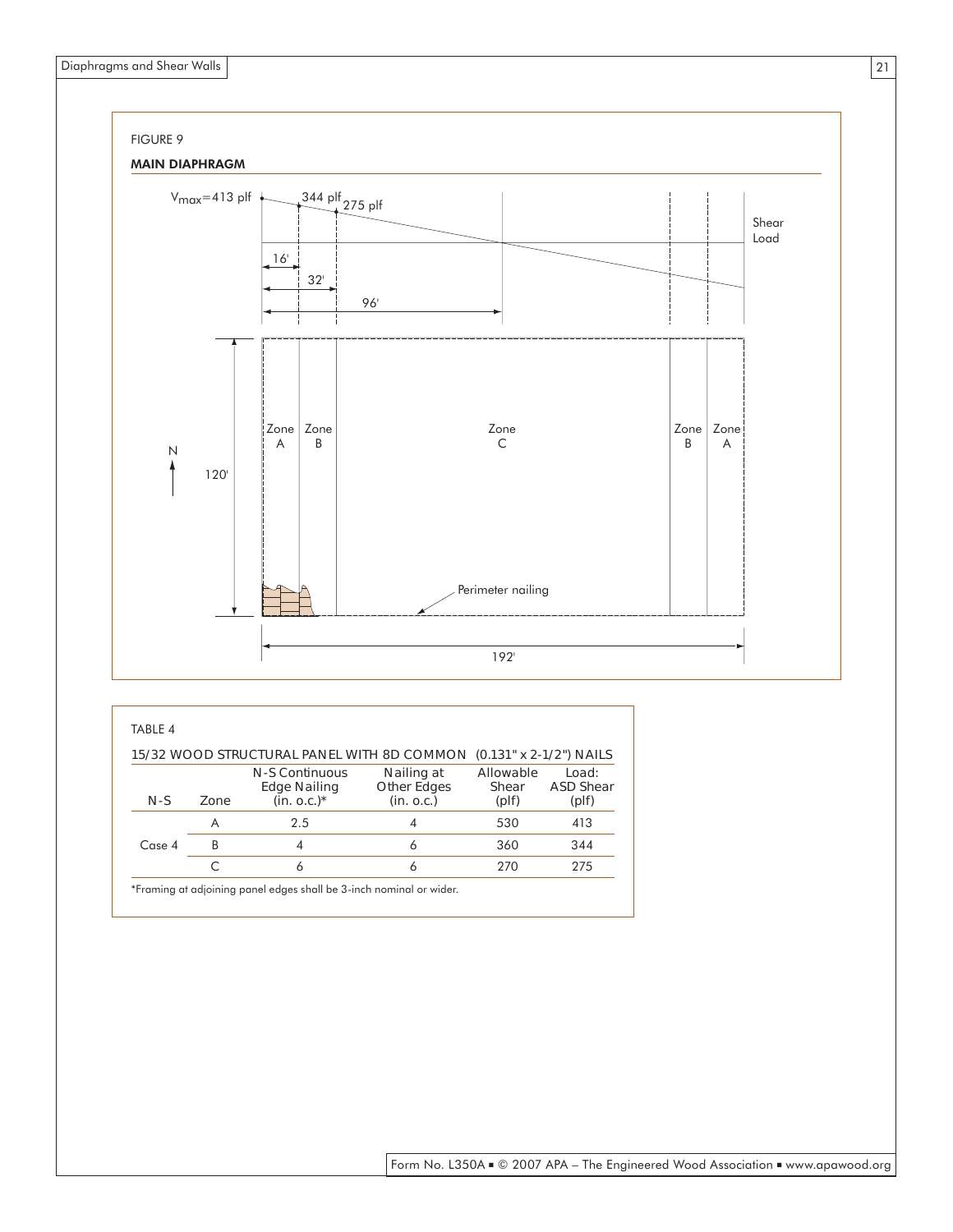

| TABLE 4 |      |                                                                                                                                      |                                                |                                      |                                    |
|---------|------|--------------------------------------------------------------------------------------------------------------------------------------|------------------------------------------------|--------------------------------------|------------------------------------|
| $N-S$   | Zone | 15/32 WOOD STRUCTURAL PANEL WITH 8D COMMON (0.131" x 2-1/2") NAILS<br><b>N-S Continuous</b><br><b>Edge Nailing</b><br>$(in. 0.c.)^*$ | Nailing at<br><b>Other Edges</b><br>(in. 0.c.) | Allowable<br>Shear<br>$(\text{pIf})$ | Load:<br><b>ASD Shear</b><br>(plf) |
|         | A    | 2.5                                                                                                                                  | 4                                              | 530                                  | 413                                |
| Case 4  | B    | 4                                                                                                                                    | 6                                              | 360                                  | 344                                |
|         |      | 6                                                                                                                                    | 6                                              | 270                                  | 275                                |
|         |      | *Framing at adjoining panel edges shall be 3-inch nominal or wider.                                                                  |                                                |                                      |                                    |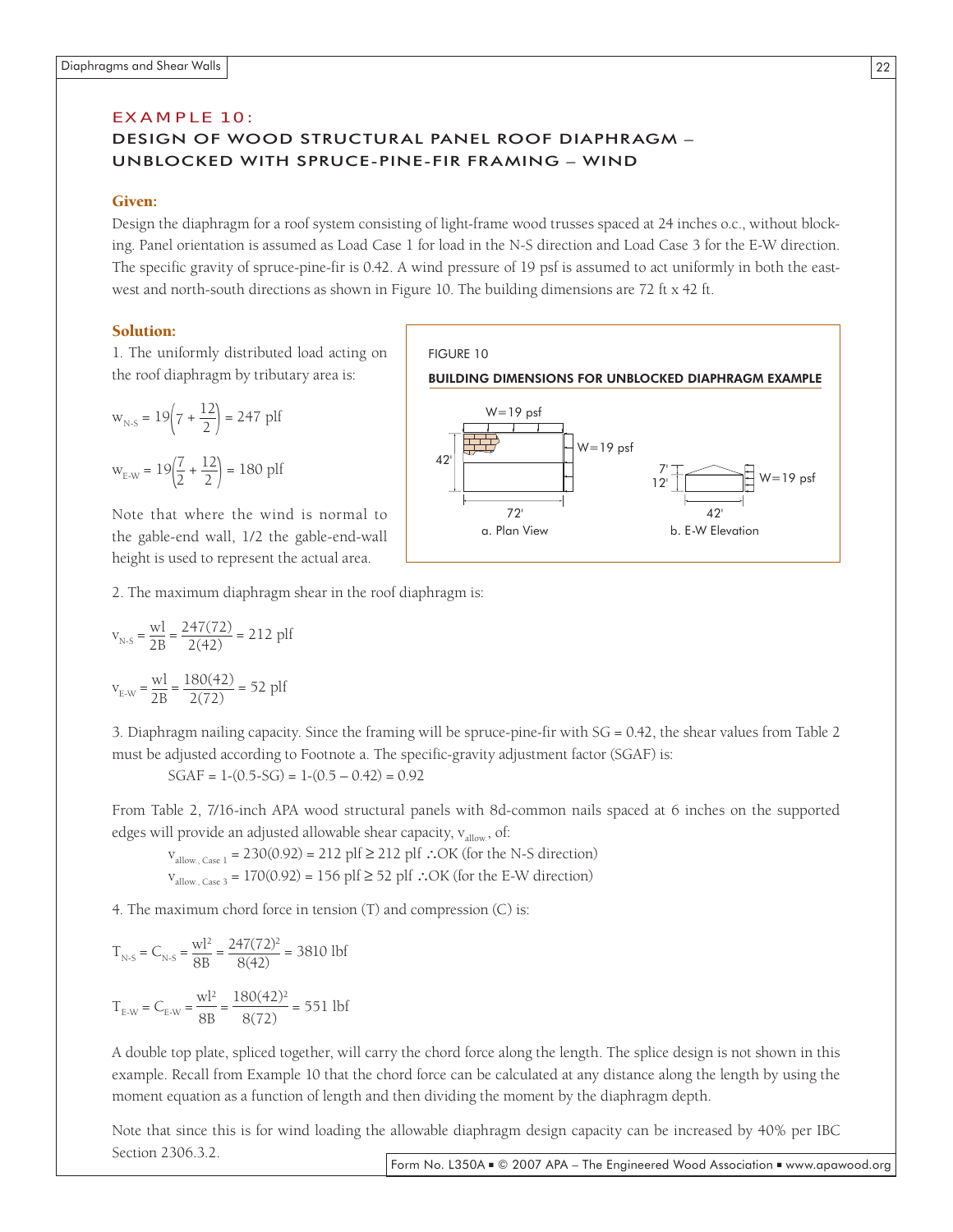#### EX AMPLE 10:

#### DESIGN OF WOOD STRUCTURAL PANEL ROOF DIAPHRAGM – UNBLOCKED WITH SPRUCE-PINE-FIR FRAMING – WIND

#### Given:

Design the diaphragm for a roof system consisting of light-frame wood trusses spaced at 24 inches o.c., without blocking. Panel orientation is assumed as Load Case 1 for load in the N-S direction and Load Case 3 for the E-W direction. The specific gravity of spruce-pine-fir is 0.42. A wind pressure of 19 psf is assumed to act uniformly in both the eastwest and north-south directions as shown in Figure 10. The building dimensions are 72 ft x 42 ft.

#### Solution:

1. The uniformly distributed load acting on the roof diaphragm by tributary area is:

$$
w_{N-S} = 19\left(7 + \frac{12}{2}\right) = 247 \text{ pIf}
$$
  

$$
w_{E-W} = 19\left(\frac{7}{2} + \frac{12}{2}\right) = 180 \text{ pIf}
$$

Note that where the wind is normal to the gable-end wall, 1/2 the gable-end-wall height is used to represent the actual area.

FIGURE 10 BUILDING DIMENSIONS FOR UNBLOCKED DIAPHRAGM EXAMPLE 42' 7' W=19 psf  $W = 19$  psf



2. The maximum diaphragm shear in the roof diaphragm is:

$$
v_{N-S} = \frac{wl}{2B} = \frac{247(72)}{2(42)} = 212 \text{ pIf}
$$
  
 $v_{E-W} = \frac{wl}{2B} = \frac{180(42)}{2(72)} = 52 \text{ pIf}$ 

3. Diaphragm nailing capacity. Since the framing will be spruce-pine-fir with SG = 0.42, the shear values from Table 2 must be adjusted according to Footnote a. The specific-gravity adjustment factor (SGAF) is:

$$
SGAF = 1-(0.5-SG) = 1-(0.5-0.42) = 0.92
$$

From Table 2, 7/16-inch APA wood structural panels with 8d-common nails spaced at 6 inches on the supported edges will provide an adjusted allowable shear capacity,  $v_{\text{allow}}$ , of:

 $v_{\text{allow. Case 1}}$  = 230(0.92) = 212 plf ≥ 212 plf ∴OK (for the N-S direction)  $v<sub>allow, Case 3</sub> = 170(0.92) = 156$  plf ≥ 52 plf ∴OK (for the E-W direction)

4. The maximum chord force in tension (T) and compression (C) is:

$$
T_{N-S} = C_{N-S} = \frac{wl^2}{8B} = \frac{247(72)^2}{8(42)} = 3810 \text{ lbf}
$$

$$
T_{E-W} = C_{E-W} = \frac{wl^2}{8B} = \frac{180(42)^2}{8(72)} = 551 \text{ lbf}
$$

A double top plate, spliced together, will carry the chord force along the length. The splice design is not shown in this example. Recall from Example 10 that the chord force can be calculated at any distance along the length by using the moment equation as a function of length and then dividing the moment by the diaphragm depth.

Note that since this is for wind loading the allowable diaphragm design capacity can be increased by 40% per IBC Section 2306.3.2.

22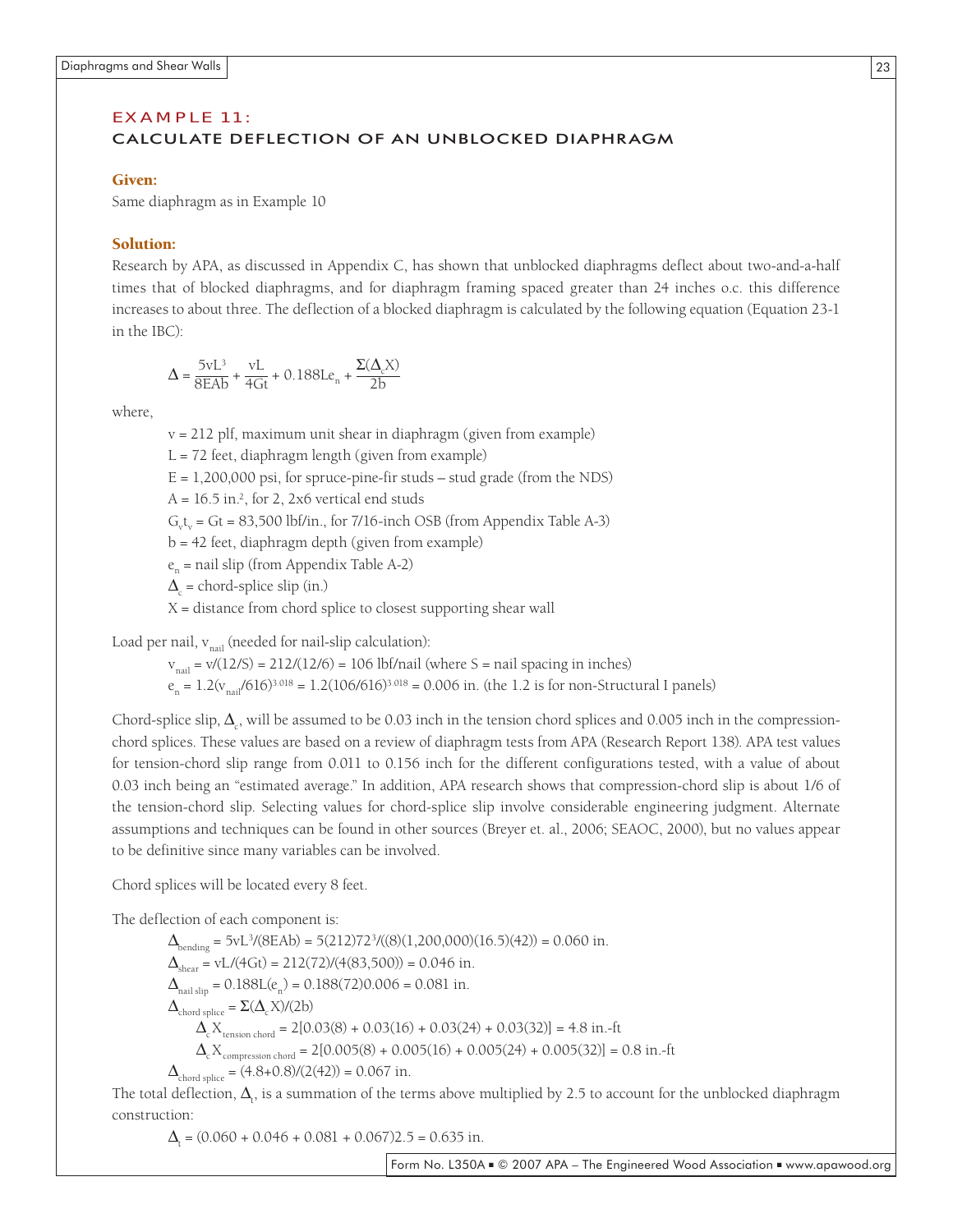#### EX AMPLE 11:

#### CALCULATE DEFLECTION OF AN UNBLOCKED DIAPHRAGM

#### Given:

Same diaphragm as in Example 10

#### Solution:

Research by APA, as discussed in Appendix C, has shown that unblocked diaphragms deflect about two-and-a-half times that of blocked diaphragms, and for diaphragm framing spaced greater than 24 inches o.c. this difference increases to about three. The deflection of a blocked diaphragm is calculated by the following equation (Equation 23-1 in the IBC):

$$
\Delta = \frac{5vL^3}{8EAb} + \frac{vL}{4Gt} + 0.188Le_n + \frac{\Sigma(\Delta_c X)}{2b}
$$

where,

v = 212 plf, maximum unit shear in diaphragm (given from example)

 $L = 72$  feet, diaphragm length (given from example)

 $E = 1,200,000$  psi, for spruce-pine-fir studs – stud grade (from the NDS)

 $A = 16.5$  in.<sup>2</sup>, for 2, 2x6 vertical end studs

 $G_v t_v = G t = 83,500$  lbf/in., for 7/16-inch OSB (from Appendix Table A-3)

 $b = 42$  feet, diaphragm depth (given from example)

 $e_n$  = nail slip (from Appendix Table A-2)

 $\Delta_c$  = chord-splice slip (in.)

 $X =$  distance from chord splice to closest supporting shear wall

Load per nail,  $v_{\text{neil}}$  (needed for nail-slip calculation):

 $v_{\text{mail}} = v/(12/5) = 212/(12/6) = 106$  lbf/nail (where S = nail spacing in inches)

 $e_n = 1.2(v_{n}^{1/616})^{3.018} = 1.2(106/616)^{3.018} = 0.006$  in. (the 1.2 is for non-Structural I panels)

Chord-splice slip,  $\Delta_c$ , will be assumed to be 0.03 inch in the tension chord splices and 0.005 inch in the compressionchord splices. These values are based on a review of diaphragm tests from APA (Research Report 138). APA test values for tension-chord slip range from 0.011 to 0.156 inch for the different configurations tested, with a value of about 0.03 inch being an "estimated average." In addition, APA research shows that compression-chord slip is about 1/6 of the tension-chord slip. Selecting values for chord-splice slip involve considerable engineering judgment. Alternate assumptions and techniques can be found in other sources (Breyer et. al., 2006; SEAOC, 2000), but no values appear to be definitive since many variables can be involved.

Chord splices will be located every 8 feet.

The deflection of each component is:

 $\Delta_{\text{bending}} = 5vL^3/(8EAb) = 5(212)72^3/((8)(1,200,000)(16.5)(42)) = 0.060$  in.  $\Delta_{\text{shear}} = \text{vL}/(4\text{Gt}) = 212(72)/(4(83,500)) = 0.046$  in.  $\Delta_{\text{nail slip}} = 0.188L(e_n) = 0.188(72)0.006 = 0.081$  in.  $\Delta_{\text{chord splice}} = \Sigma(\Delta_{\text{c}} X)/(2b)$  $\Delta_c X_{\text{tension chord}} = 2[0.03(8) + 0.03(16) + 0.03(24) + 0.03(32)] = 4.8$  in.-ft  $\Delta_{\rm c}$ X<sub>compression chord</sub> = 2[0.005(8) + 0.005(16) + 0.005(24) + 0.005(32)] = 0.8 in.-ft  $\Delta_{\text{chord splice}} = (4.8+0.8)/(2(42)) = 0.067$  in.

The total deflection,  $\Delta_{t}$ , is a summation of the terms above multiplied by 2.5 to account for the unblocked diaphragm construction:

 $\Delta_t = (0.060 + 0.046 + 0.081 + 0.067)2.5 = 0.635$  in.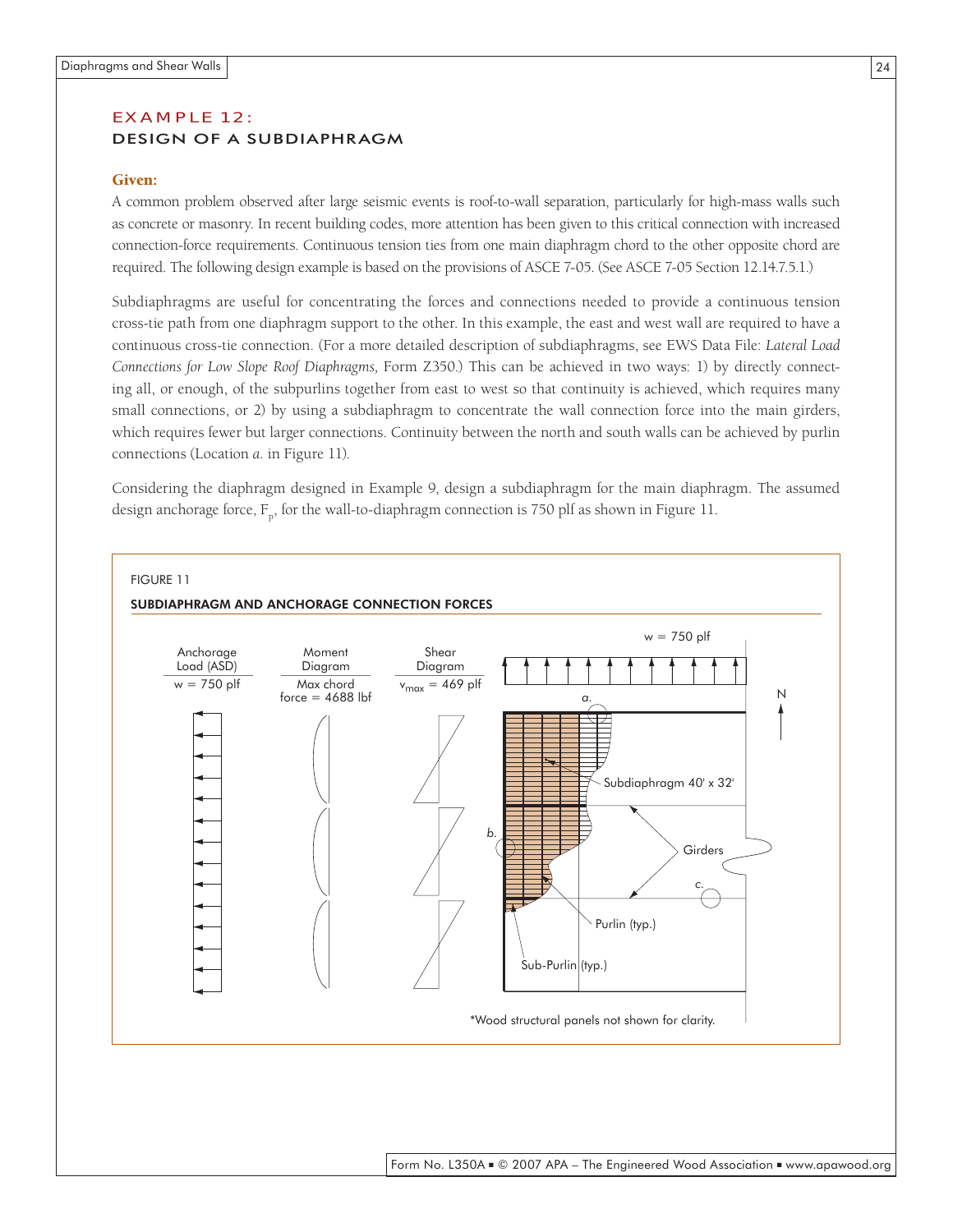#### EX AMPLE 12: DESIGN OF A SUBDIAPHRAGM

#### Given:

A common problem observed after large seismic events is roof-to-wall separation, particularly for high-mass walls such as concrete or masonry. In recent building codes, more attention has been given to this critical connection with increased connection-force requirements. Continuous tension ties from one main diaphragm chord to the other opposite chord are required. The following design example is based on the provisions of ASCE 7-05. (See ASCE 7-05 Section 12.14.7.5.1.)

Subdiaphragms are useful for concentrating the forces and connections needed to provide a continuous tension cross-tie path from one diaphragm support to the other. In this example, the east and west wall are required to have a continuous cross-tie connection. (For a more detailed description of subdiaphragms, see EWS Data File: *Lateral Load Connections for Low Slope Roof Diaphragms,* Form Z350.) This can be achieved in two ways: 1) by directly connecting all, or enough, of the subpurlins together from east to west so that continuity is achieved, which requires many small connections, or 2) by using a subdiaphragm to concentrate the wall connection force into the main girders, which requires fewer but larger connections. Continuity between the north and south walls can be achieved by purlin connections (Location *a.* in Figure 11).

Considering the diaphragm designed in Example 9, design a subdiaphragm for the main diaphragm. The assumed design anchorage force,  $F_n$ , for the wall-to-diaphragm connection is 750 plf as shown in Figure 11.

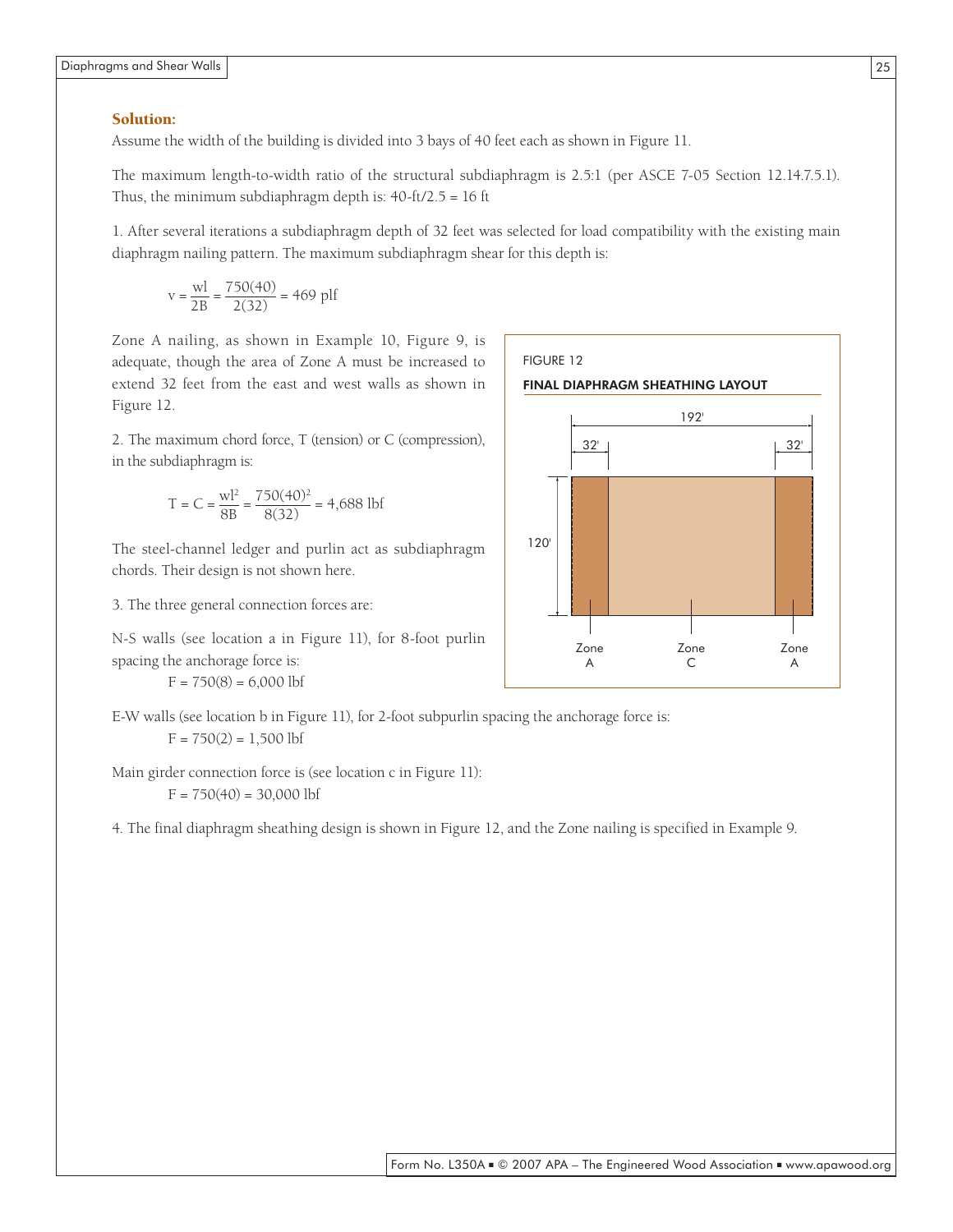#### Solution:

Assume the width of the building is divided into 3 bays of 40 feet each as shown in Figure 11.

The maximum length-to-width ratio of the structural subdiaphragm is 2.5:1 (per ASCE 7-05 Section 12.14.7.5.1). Thus, the minimum subdiaphragm depth is:  $40-ft/2.5 = 16$  ft

1. After several iterations a subdiaphragm depth of 32 feet was selected for load compatibility with the existing main diaphragm nailing pattern. The maximum subdiaphragm shear for this depth is:

$$
v = \frac{wl}{2B} = \frac{750(40)}{2(32)} = 469 \text{ pIf}
$$

Zone A nailing, as shown in Example 10, Figure 9, is adequate, though the area of Zone A must be increased to extend 32 feet from the east and west walls as shown in Figure 12.

2. The maximum chord force, T (tension) or C (compression), in the subdiaphragm is:

$$
T = C = \frac{wl^2}{8B} = \frac{750(40)^2}{8(32)} = 4,688 \text{ lbf}
$$

The steel-channel ledger and purlin act as subdiaphragm chords. Their design is not shown here.

3. The three general connection forces are:

N-S walls (see location a in Figure 11), for 8-foot purlin spacing the anchorage force is:  $F = 750(8) = 6,000$  lbf

E-W walls (see location b in Figure 11), for 2-foot subpurlin spacing the anchorage force is:  $F = 750(2) = 1,500$  lbf

Main girder connection force is (see location c in Figure 11):

 $F = 750(40) = 30,000$  lbf

4. The final diaphragm sheathing design is shown in Figure 12, and the Zone nailing is specified in Example 9.

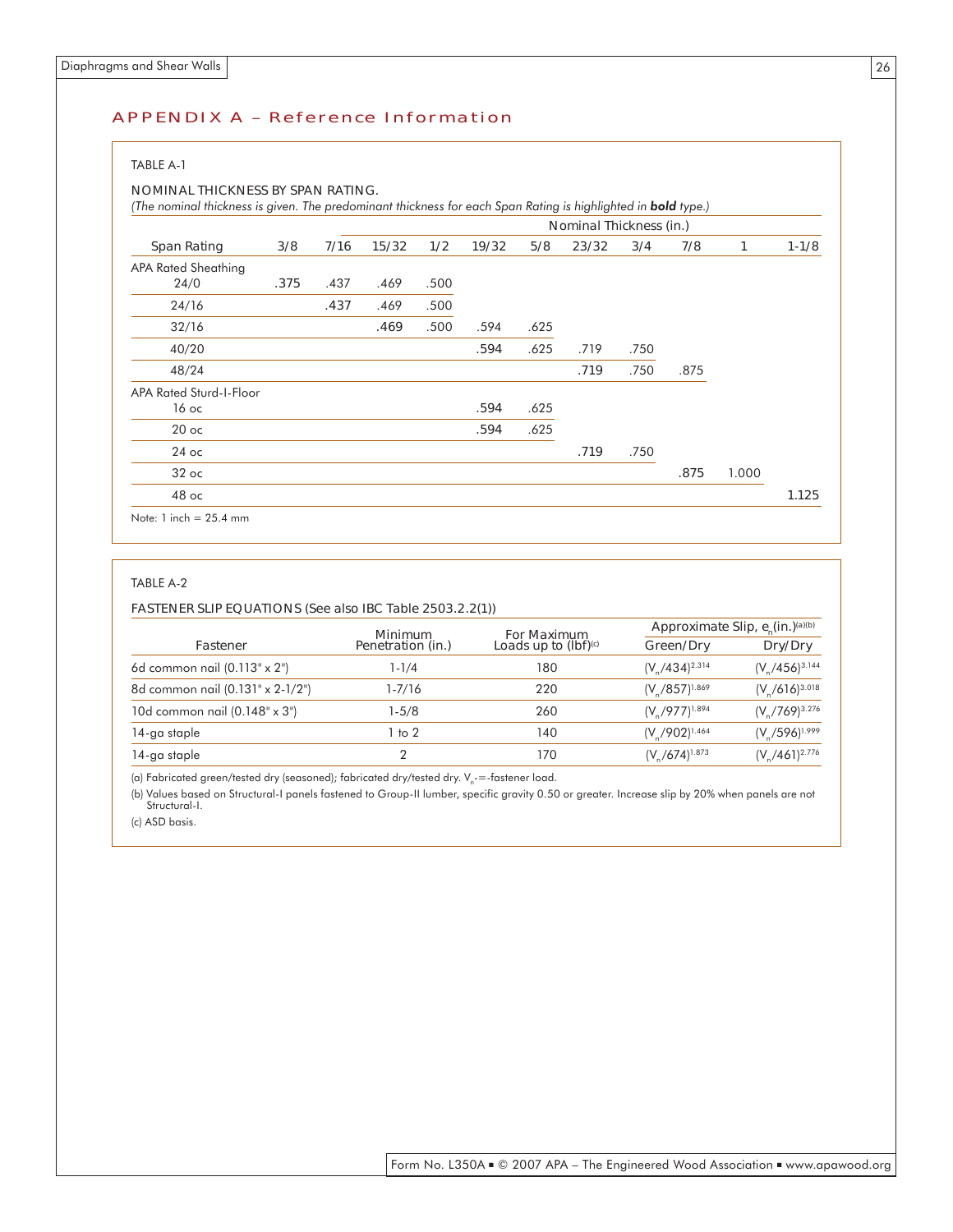#### APPENDIX A – Reference Information

#### TABLE A-1

#### NOMINAL THICKNESS BY SPAN RATING.

*(The nominal thickness is given. The predominant thickness for each Span Rating is highlighted in bold <i>type.)* 

|                          |      |      |       |      |       |      | Nominal Thickness (in.) |      |      |       |           |
|--------------------------|------|------|-------|------|-------|------|-------------------------|------|------|-------|-----------|
| <b>Span Rating</b>       | 3/8  | 7/16 | 15/32 | 1/2  | 19/32 | 5/8  | 23/32                   | 3/4  | 7/8  | 1     | $1 - 1/8$ |
| APA Rated Sheathing      |      |      |       |      |       |      |                         |      |      |       |           |
| 24/0                     | .375 | .437 | .469  | .500 |       |      |                         |      |      |       |           |
| 24/16                    |      | .437 | .469  | .500 |       |      |                         |      |      |       |           |
| 32/16                    |      |      | .469  | .500 | .594  | .625 |                         |      |      |       |           |
| 40/20                    |      |      |       |      | .594  | .625 | .719                    | .750 |      |       |           |
| 48/24                    |      |      |       |      |       |      | .719                    | .750 | .875 |       |           |
| APA Rated Sturd-I-Floor  |      |      |       |      |       |      |                         |      |      |       |           |
| 16 ос                    |      |      |       |      | .594  | .625 |                         |      |      |       |           |
| $20$ oc                  |      |      |       |      | .594  | .625 |                         |      |      |       |           |
| $24$ oc                  |      |      |       |      |       |      | .719                    | .750 |      |       |           |
| $32$ oc                  |      |      |       |      |       |      |                         |      | .875 | 1.000 |           |
| 48 oc                    |      |      |       |      |       |      |                         |      |      |       | 1.125     |
| Note: $1$ inch = 25.4 mm |      |      |       |      |       |      |                         |      |      |       |           |

#### TABLE A-2

#### FASTENER SLIP EQUATIONS (See also IBC Table 2503.2.2(1))

|                                     | Minimum           | For Maximum                      | Approximate Slip, $e_n(in.)^{(a)(b)}$ |                       |  |  |
|-------------------------------------|-------------------|----------------------------------|---------------------------------------|-----------------------|--|--|
| Fastener                            | Penetration (in.) | Loads up to $(lbf)^{\text{(c)}}$ | Green/Dry                             | Dry/Dry               |  |  |
| 6d common nail $(0.113" \times 2")$ | 1-1/4             | 180                              | $(V_{0}/434)^{2.314}$                 | $(V_p/456)^{3.144}$   |  |  |
| 8d common nail (0.131" x 2-1/2")    | 1-7/16            | 220                              | $(V/857)^{1.869}$                     | $(V_6/616)^{3.018}$   |  |  |
| 10d common nail (0.148" x 3")       | $1-5/8$           | 260                              | $(V_{0}/977)^{1.894}$                 | $(V_{p}/769)^{3.276}$ |  |  |
| 14-ga staple                        | $1$ to $2$        | 140                              | $(V_{0}/902)^{1.464}$                 | $(V_5/596)^{1.999}$   |  |  |
| 14-ga staple                        |                   | 170                              | $(V_{0}/674)^{1.873}$                 | $(V_A/461)^{2.776}$   |  |  |

(a) Fabricated green/tested dry (seasoned); fabricated dry/tested dry.  $V_n$ -=-fastener load.

(b) Values based on Structural-I panels fastened to Group-II lumber, specific gravity 0.50 or greater. Increase slip by 20% when panels are not Structural-I.

(c) ASD basis.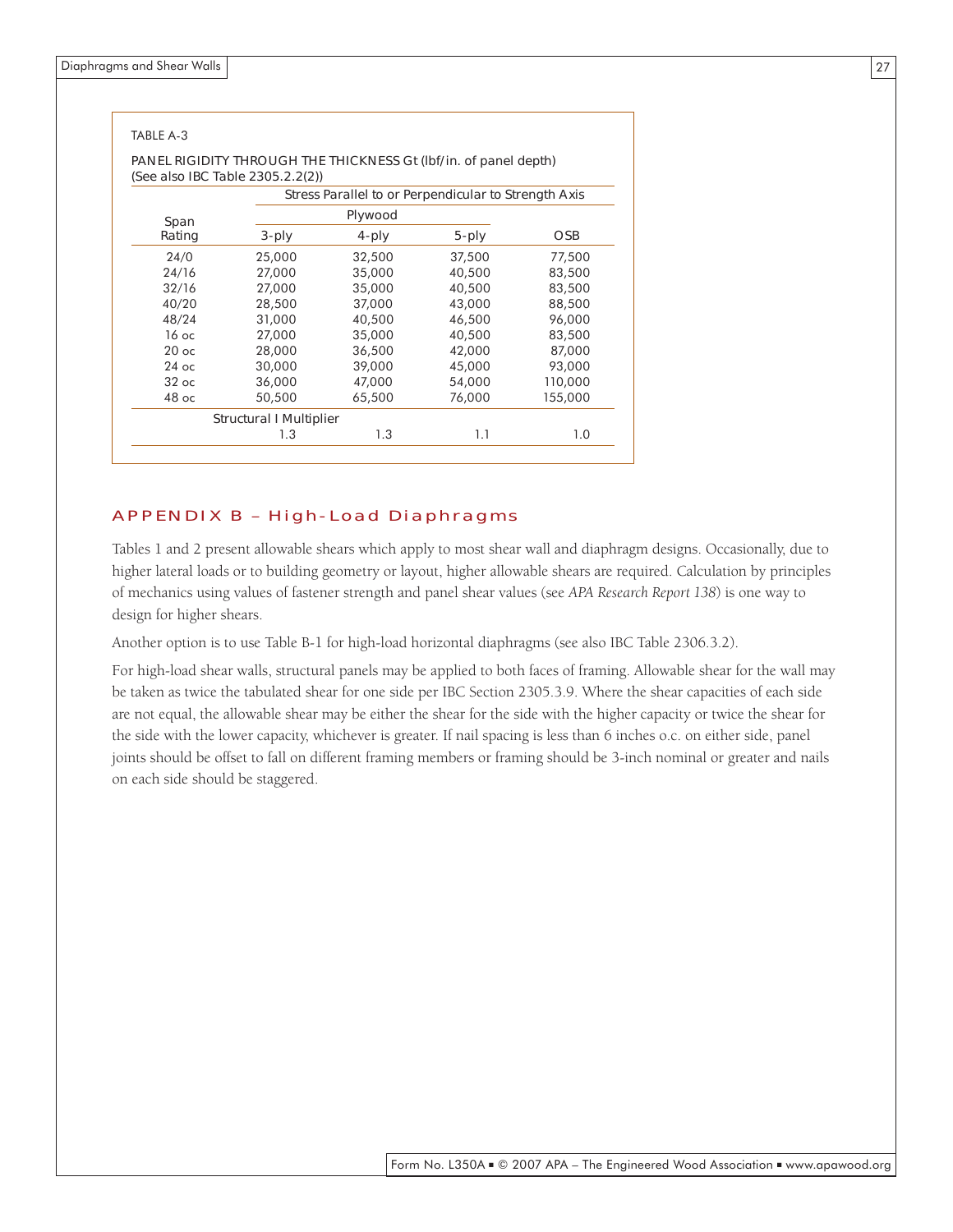|         | (See also IBC Table 2305.2.2(2)) | Stress Parallel to or Perpendicular to Strength Axis |        |            |
|---------|----------------------------------|------------------------------------------------------|--------|------------|
| Span    |                                  | Plywood                                              |        |            |
| Rating  | 3-ply                            | 4-ply                                                | 5-ply  | <b>OSB</b> |
| 24/0    | 25,000                           | 32,500                                               | 37,500 | 77,500     |
| 24/16   | 27,000                           | 35,000                                               | 40,500 | 83,500     |
| 32/16   | 27,000                           | 35,000                                               | 40,500 | 83,500     |
| 40/20   | 28,500                           | 37,000                                               | 43,000 | 88,500     |
| 48/24   | 31,000                           | 40,500                                               | 46,500 | 96,000     |
| 16 ос   | 27,000                           | 35,000                                               | 40,500 | 83,500     |
| $20$ oc | 28,000                           | 36,500                                               | 42,000 | 87,000     |
| $24$ oc | 30,000                           | 39,000                                               | 45,000 | 93,000     |
| $32$ oc | 36,000                           | 47,000                                               | 54,000 | 110,000    |
| $48$ oc | 50,500                           | 65,500                                               | 76,000 | 155,000    |

#### APPENDIX B – High-Load Diaphragms

Tables 1 and 2 present allowable shears which apply to most shear wall and diaphragm designs. Occasionally, due to higher lateral loads or to building geometry or layout, higher allowable shears are required. Calculation by principles of mechanics using values of fastener strength and panel shear values (see *APA Research Report 138*) is one way to design for higher shears.

Another option is to use Table B-1 for high-load horizontal diaphragms (see also IBC Table 2306.3.2).

For high-load shear walls, structural panels may be applied to both faces of framing. Allowable shear for the wall may be taken as twice the tabulated shear for one side per IBC Section 2305.3.9. Where the shear capacities of each side are not equal, the allowable shear may be either the shear for the side with the higher capacity or twice the shear for the side with the lower capacity, whichever is greater. If nail spacing is less than 6 inches o.c. on either side, panel joints should be offset to fall on different framing members or framing should be 3-inch nominal or greater and nails on each side should be staggered.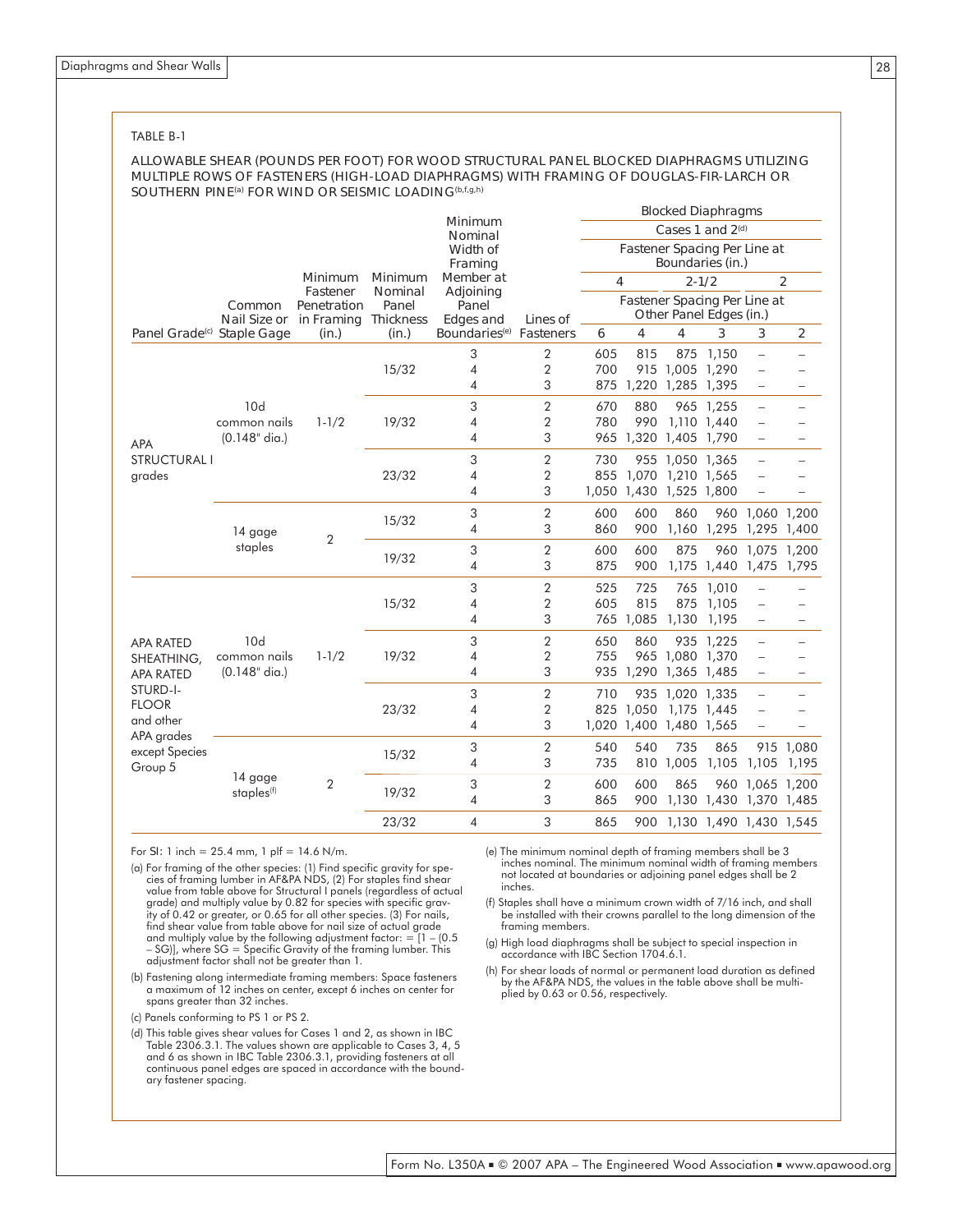#### TABLE B-1

#### ALLOWABLE SHEAR (POUNDS PER FOOT) FOR WOOD STRUCTURAL PANEL BLOCKED DIAPHRAGMS UTILIZING MULTIPLE ROWS OF FASTENERS (HIGH-LOAD DIAPHRAGMS) WITH FRAMING OF DOUGLAS-FIR-LARCH OR SOUTHERN PINE<sup>(a)</sup> FOR WIND OR SEISMIC LOADING<sup>(b,f,g,h)</sup>

|                                             |                                        |                      |                           |                                     |                         |                              |           |                         | <b>Blocked Diaphragms</b>    |                                                      |                          |  |  |
|---------------------------------------------|----------------------------------------|----------------------|---------------------------|-------------------------------------|-------------------------|------------------------------|-----------|-------------------------|------------------------------|------------------------------------------------------|--------------------------|--|--|
|                                             |                                        |                      |                           | Minimum<br>Nominal                  |                         |                              |           |                         | Cases 1 and 2 <sup>(d)</sup> |                                                      |                          |  |  |
|                                             |                                        |                      |                           | Width of                            |                         | Fastener Spacing Per Line at |           |                         |                              |                                                      |                          |  |  |
|                                             | Framing                                |                      |                           |                                     |                         | Boundaries (in.)             |           |                         |                              |                                                      |                          |  |  |
|                                             |                                        | Minimum<br>Fastener  | <b>Minimum</b><br>Nominal | Member at<br>Adjoining              |                         | 4                            |           |                         | $2 - 1/2$                    |                                                      | $\overline{2}$           |  |  |
|                                             | Common                                 | Penetration          | Panel                     | Panel                               |                         |                              |           |                         | Fastener Spacing Per Line at |                                                      |                          |  |  |
|                                             | Nail Size or                           | in Framing Thickness |                           | <b>Edges and</b>                    | Lines of                |                              |           |                         | Other Panel Edges (in.)      |                                                      |                          |  |  |
| Panel Grade <sup>(c)</sup> Staple Gage      |                                        | (in.)                | (in.)                     | Boundaries <sup>(e)</sup> Fasteners |                         | 6                            | 4         | 4                       | 3                            | 3                                                    | 2                        |  |  |
|                                             |                                        |                      |                           | 3                                   | 2                       | 605                          | 815       |                         | 875 1,150                    | $\overline{\phantom{0}}$                             |                          |  |  |
|                                             |                                        |                      | 15/32                     | $\overline{4}$                      | 2                       | 700                          |           | 915 1,005 1,290         |                              | $\overline{\phantom{0}}$                             |                          |  |  |
| <b>APA</b><br><b>STRUCTURAL I</b><br>grades | 10d<br>common nails<br>$(0.148"$ dia.) |                      |                           | 4                                   | 3                       | 875                          |           | 1,220 1,285 1,395       |                              | $\overline{\phantom{0}}$                             |                          |  |  |
|                                             |                                        |                      |                           | 3                                   | $\overline{2}$          | 670                          | 880       |                         | 965 1,255                    | $\qquad \qquad -$                                    |                          |  |  |
|                                             |                                        | $1 - 1/2$            | 19/32                     | 4                                   | $\overline{2}$          | 780                          | 990       |                         | 1,110 1,440                  | $\overline{\phantom{0}}$                             |                          |  |  |
|                                             |                                        |                      |                           | $\overline{4}$                      | 3                       | 965                          |           | 1,320 1,405 1,790       |                              | $\qquad \qquad -$                                    |                          |  |  |
|                                             |                                        |                      |                           | 3                                   | $\overline{2}$          | 730                          |           | 955 1,050 1,365         |                              | $\equiv$                                             |                          |  |  |
|                                             |                                        |                      | 23/32                     | $\overline{4}$                      | $\overline{2}$          |                              | 855 1,070 | 1,210 1,565             |                              | $\overline{\phantom{a}}$                             |                          |  |  |
|                                             |                                        |                      |                           | 4                                   | 3                       |                              |           | 1,050 1,430 1,525 1,800 |                              | $\overline{\phantom{0}}$                             |                          |  |  |
|                                             |                                        |                      |                           | 3                                   | 2                       | 600                          | 600       | 860                     |                              | 960 1,060 1,200                                      |                          |  |  |
|                                             | 14 gage                                | $\overline{2}$       | 15/32                     | 4                                   | 3                       | 860                          | 900       |                         | 1,160 1,295                  | 1,295                                                | 1,400                    |  |  |
|                                             | staples                                |                      | 19/32                     | 3                                   | $\overline{2}$          | 600                          | 600       | 875                     | 960                          | 1,075                                                | 1,200                    |  |  |
|                                             |                                        |                      |                           | 4                                   | 3                       | 875                          | 900       |                         | 1,175 1,440 1,475            |                                                      | 1,795                    |  |  |
|                                             |                                        |                      | 15/32                     | 3                                   | $\overline{\mathbf{c}}$ | 525                          | 725       |                         | 765 1,010                    |                                                      |                          |  |  |
|                                             |                                        |                      |                           | $\overline{4}$                      | $\overline{2}$          | 605                          | 815       | 875                     | 1,105                        | $\overline{\phantom{a}}$                             |                          |  |  |
|                                             |                                        |                      |                           | $\overline{4}$                      | 3                       | 765                          | 1,085     | 1,130                   | 1,195                        | $\overline{\phantom{0}}$                             | $\qquad \qquad -$        |  |  |
|                                             | 10d                                    |                      |                           | 3                                   | $\overline{2}$          | 650                          | 860       |                         | 935 1,225                    |                                                      |                          |  |  |
| <b>APA RATED</b>                            | common nails                           | $1 - 1/2$            | 19/32                     | 4                                   | 2                       | 755                          |           | 965 1,080 1,370         |                              | $\overline{\phantom{0}}$<br>$\overline{\phantom{0}}$ |                          |  |  |
| SHEATHING,<br><b>APA RATED</b>              | $(0.148"$ dia.)                        |                      |                           | 4                                   | 3                       | 935                          |           | 1,290 1,365 1,485       |                              | $\qquad \qquad -$                                    | $\overline{\phantom{0}}$ |  |  |
| STURD-I-                                    |                                        |                      |                           |                                     |                         |                              |           |                         |                              |                                                      |                          |  |  |
| <b>FLOOR</b>                                |                                        |                      |                           | 3                                   | 2                       | 710                          |           | 935 1,020 1,335         |                              | $\overline{\phantom{0}}$                             |                          |  |  |
| and other                                   |                                        |                      | 23/32                     | 4                                   | 2                       |                              | 825 1,050 |                         | 1,175 1,445                  | $\overline{\phantom{0}}$                             |                          |  |  |
| APA grades                                  |                                        |                      |                           | 4                                   | 3                       |                              |           | 1,020 1,400 1,480 1,565 |                              | $\overline{\phantom{0}}$                             |                          |  |  |
| except Species                              |                                        |                      | 15/32                     | 3                                   | $\overline{2}$          | 540                          | 540       | 735                     | 865                          |                                                      | 915 1,080                |  |  |
| Group 5                                     |                                        |                      |                           | $\overline{4}$                      | 3                       | 735                          |           | 810 1,005               | 1,105                        | 1,105                                                | 1,195                    |  |  |
|                                             | 14 gage                                | $\overline{2}$       | 19/32                     | 3                                   | $\overline{2}$          | 600                          | 600       | 865                     | 960                          | 1,065 1,200                                          |                          |  |  |
|                                             | staples <sup>(f)</sup>                 |                      |                           | $\overline{\mathcal{A}}$            | 3                       | 865                          | 900       |                         | 1,130 1,430 1,370 1,485      |                                                      |                          |  |  |
|                                             |                                        |                      | 23/32                     | $\overline{4}$                      | 3                       | 865                          | 900       |                         | 1,130 1,490 1,430 1,545      |                                                      |                          |  |  |

For SI: 1 inch = 25.4 mm, 1 plf = 14.6 N/m.

- (a) For framing of the other species: (1) Find specific gravity for species of framing lumber in AF&PA NDS, (2) For staples find shear value from table above for Structural I panels (regardless of actual grade) and multiply value by 0.82 for species with specific gravity of 0.42 or greater, or 0.65 for all other species. (3) For nails, find shear value from table above for nail size of actual grade and multiply value by the following adjustment factor: = [1 – (0.5 – SG)], where SG = Specific Gravity of the framing lumber. This adjustment factor shall not be greater than 1.
- (b) Fastening along intermediate framing members: Space fasteners a maximum of 12 inches on center, except 6 inches on center for spans greater than 32 inches.
- (c) Panels conforming to PS 1 or PS 2.
- (d) This table gives shear values for Cases 1 and 2, as shown in IBC Table 2306.3.1. The values shown are applicable to Cases 3, 4, 5 and 6 as shown in IBC Table 2306.3.1, providing fasteners at all continuous panel edges are spaced in accordance with the boundary fastener spacing.
- (e) The minimum nominal depth of framing members shall be 3 inches nominal. The minimum nominal width of framing members not located at boundaries or adjoining panel edges shall be 2 inches.
- (f) Staples shall have a minimum crown width of 7/16 inch, and shall be installed with their crowns parallel to the long dimension of the framing members.
- (g) High load diaphragms shall be subject to special inspection in accordance with IBC Section 1704.6.1.
- (h) For shear loads of normal or permanent load duration as defined by the AF&PA NDS, the values in the table above shall be multiplied by 0.63 or 0.56, respectively.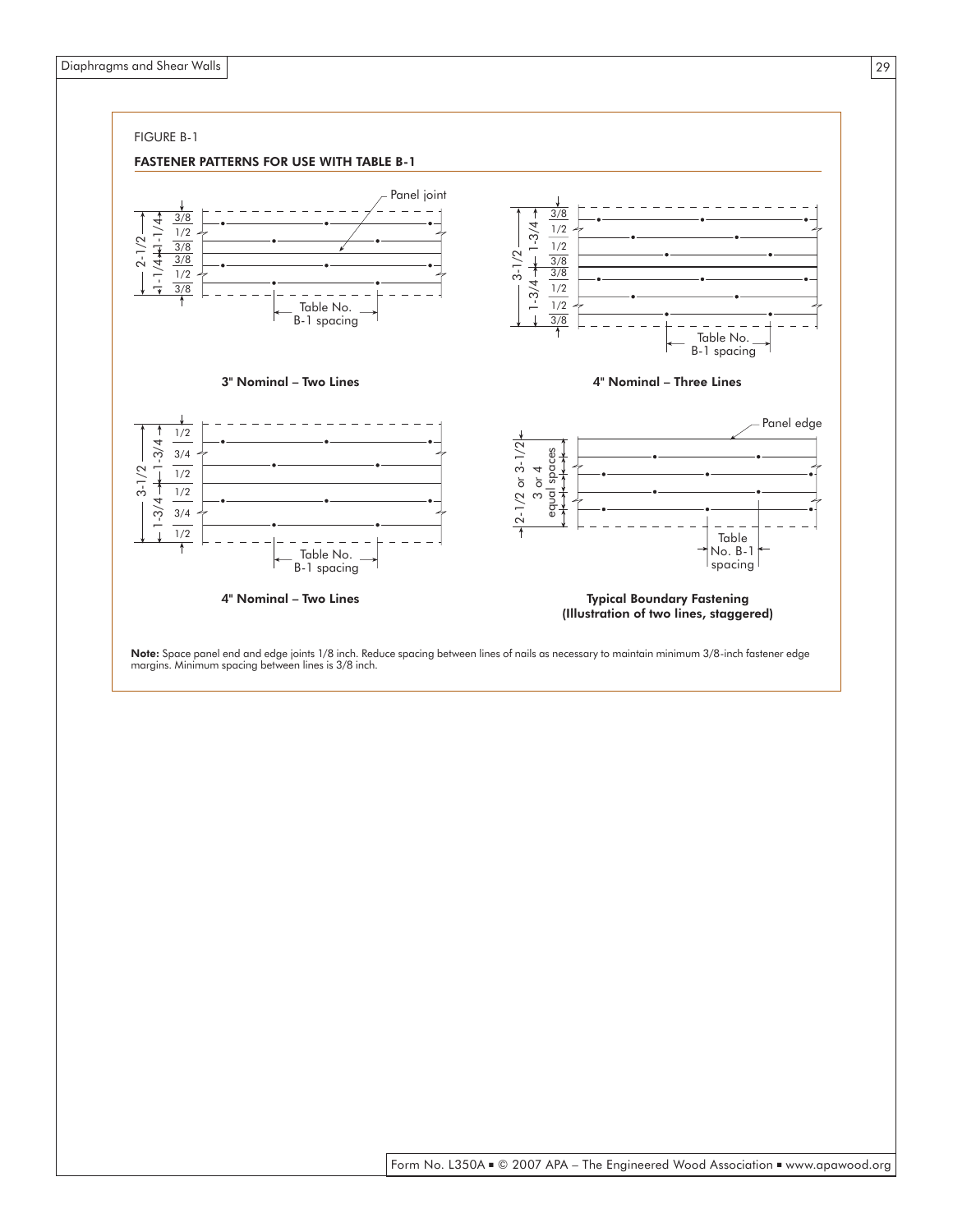

Note: Space panel end and edge joints 1/8 inch. Reduce spacing between lines of nails as necessary to maintain minimum 3/8-inch fastener edge margins. Minimum spacing between lines is 3/8 inch.

29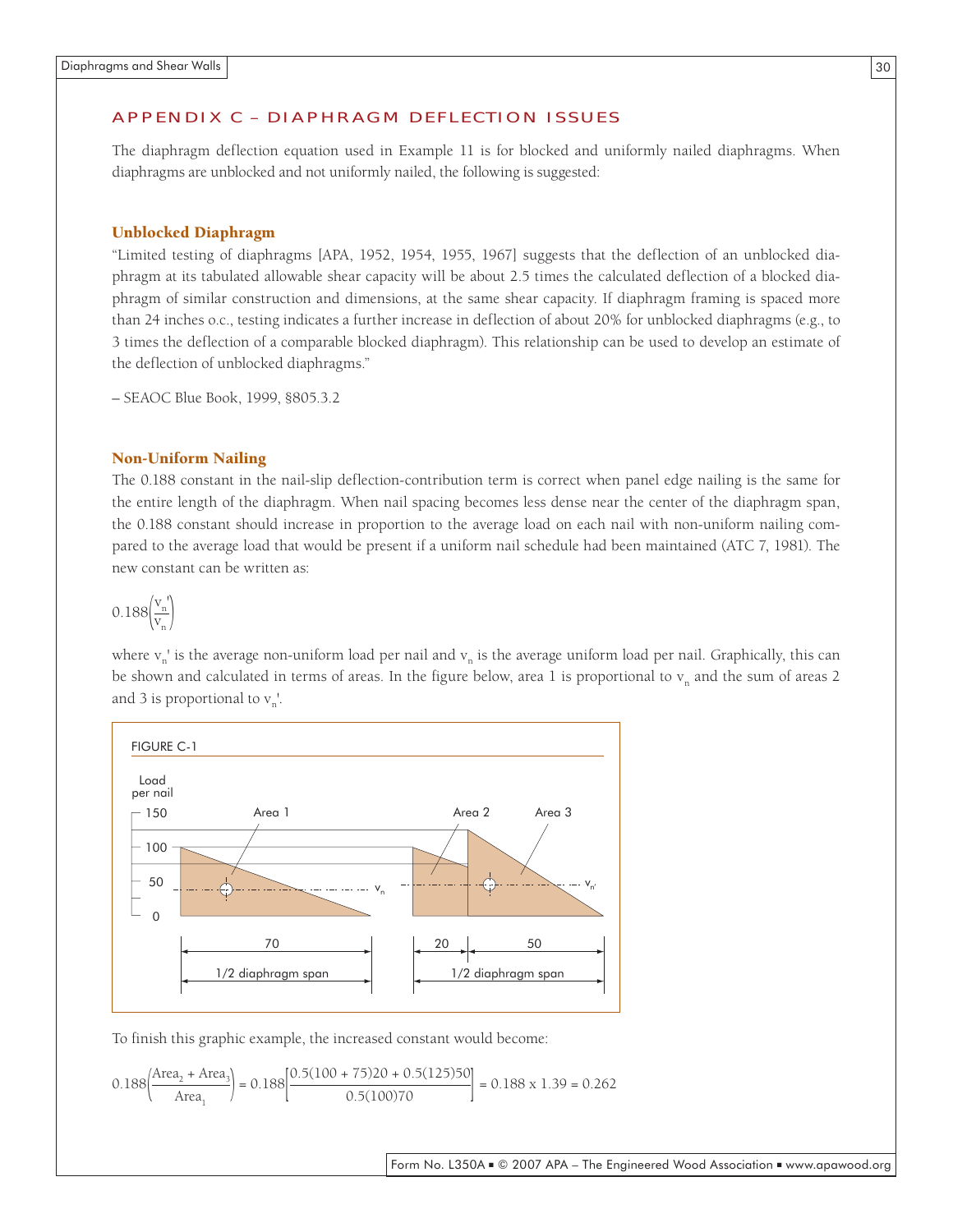#### APPENDIX C – DIAPHRAGM DEFLECTION ISSUES

The diaphragm deflection equation used in Example 11 is for blocked and uniformly nailed diaphragms. When diaphragms are unblocked and not uniformly nailed, the following is suggested:

#### Unblocked Diaphragm

"Limited testing of diaphragms [APA, 1952, 1954, 1955, 1967] suggests that the deflection of an unblocked diaphragm at its tabulated allowable shear capacity will be about 2.5 times the calculated deflection of a blocked diaphragm of similar construction and dimensions, at the same shear capacity. If diaphragm framing is spaced more than 24 inches o.c., testing indicates a further increase in deflection of about 20% for unblocked diaphragms (e.g., to 3 times the deflection of a comparable blocked diaphragm). This relationship can be used to develop an estimate of the deflection of unblocked diaphragms."

– SEAOC Blue Book, 1999, §805.3.2

#### Non-Uniform Nailing

The 0.188 constant in the nail-slip deflection-contribution term is correct when panel edge nailing is the same for the entire length of the diaphragm. When nail spacing becomes less dense near the center of the diaphragm span, the 0.188 constant should increase in proportion to the average load on each nail with non-uniform nailing compared to the average load that would be present if a uniform nail schedule had been maintained (ATC 7, 1981). The new constant can be written as:

$$
0.188\left(\frac{v_n'}{v_n}\right)
$$

where  $v_n$ ' is the average non-uniform load per nail and  $v_n$  is the average uniform load per nail. Graphically, this can be shown and calculated in terms of areas. In the figure below, area 1 is proportional to  $v_n$  and the sum of areas 2 and 3 is proportional to  $v_n'$ .



To finish this graphic example, the increased constant would become:

$$
0.188\left(\frac{\text{Area}_2 + \text{Area}_3}{\text{Area}_1}\right) = 0.188\left[\frac{0.5(100 + 75)20 + 0.5(125)50}{0.5(100)70}\right] = 0.188 \times 1.39 = 0.262
$$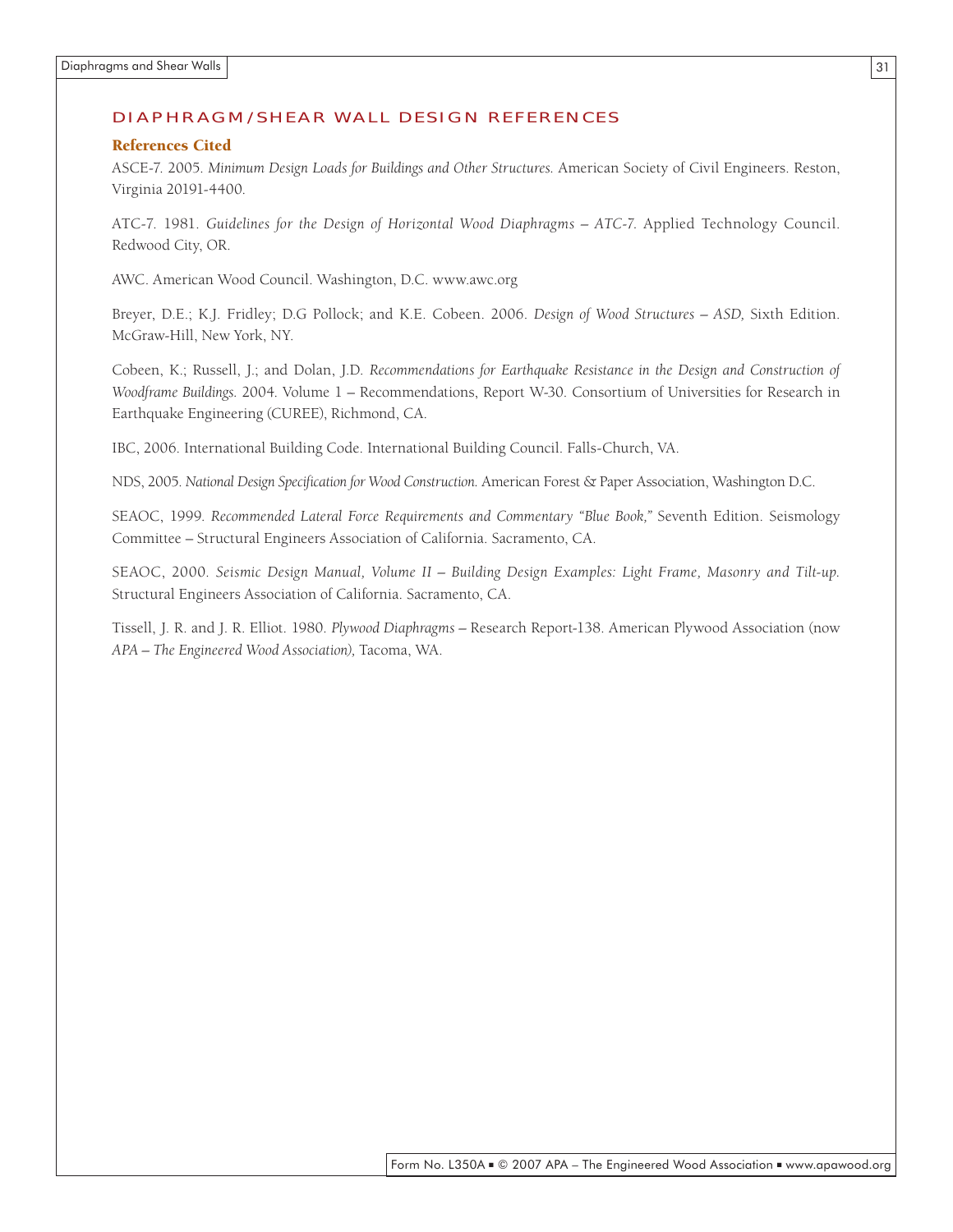#### DIAPHRAGM/SHEAR WALL DESIGN REFERENCES

#### References Cited

ASCE-7. 2005. *Minimum Design Loads for Buildings and Other Structures.* American Society of Civil Engineers. Reston, Virginia 20191-4400.

ATC-7. 1981. *Guidelines for the Design of Horizontal Wood Diaphragms – ATC-7.* Applied Technology Council. Redwood City, OR.

AWC. American Wood Council. Washington, D.C. www.awc.org

Breyer, D.E.; K.J. Fridley; D.G Pollock; and K.E. Cobeen. 2006. *Design of Wood Structures – ASD,* Sixth Edition. McGraw-Hill, New York, NY.

Cobeen, K.; Russell, J.; and Dolan, J.D. *Recommendations for Earthquake Resistance in the Design and Construction of Woodframe Buildings.* 2004. Volume 1 – Recommendations, Report W-30. Consortium of Universities for Research in Earthquake Engineering (CUREE), Richmond, CA.

IBC, 2006. International Building Code. International Building Council. Falls-Church, VA.

NDS, 2005. *National Design Specification for Wood Construction.* American Forest & Paper Association, Washington D.C.

SEAOC, 1999. *Recommended Lateral Force Requirements and Commentary "Blue Book,"* Seventh Edition. Seismology Committee – Structural Engineers Association of California. Sacramento, CA.

SEAOC, 2000. *Seismic Design Manual, Volume II – Building Design Examples: Light Frame, Masonry and Tilt-up.*  Structural Engineers Association of California. Sacramento, CA.

Tissell, J. R. and J. R. Elliot. 1980. *Plywood Diaphragms –* Research Report-138. American Plywood Association (now *APA – The Engineered Wood Association),* Tacoma, WA.